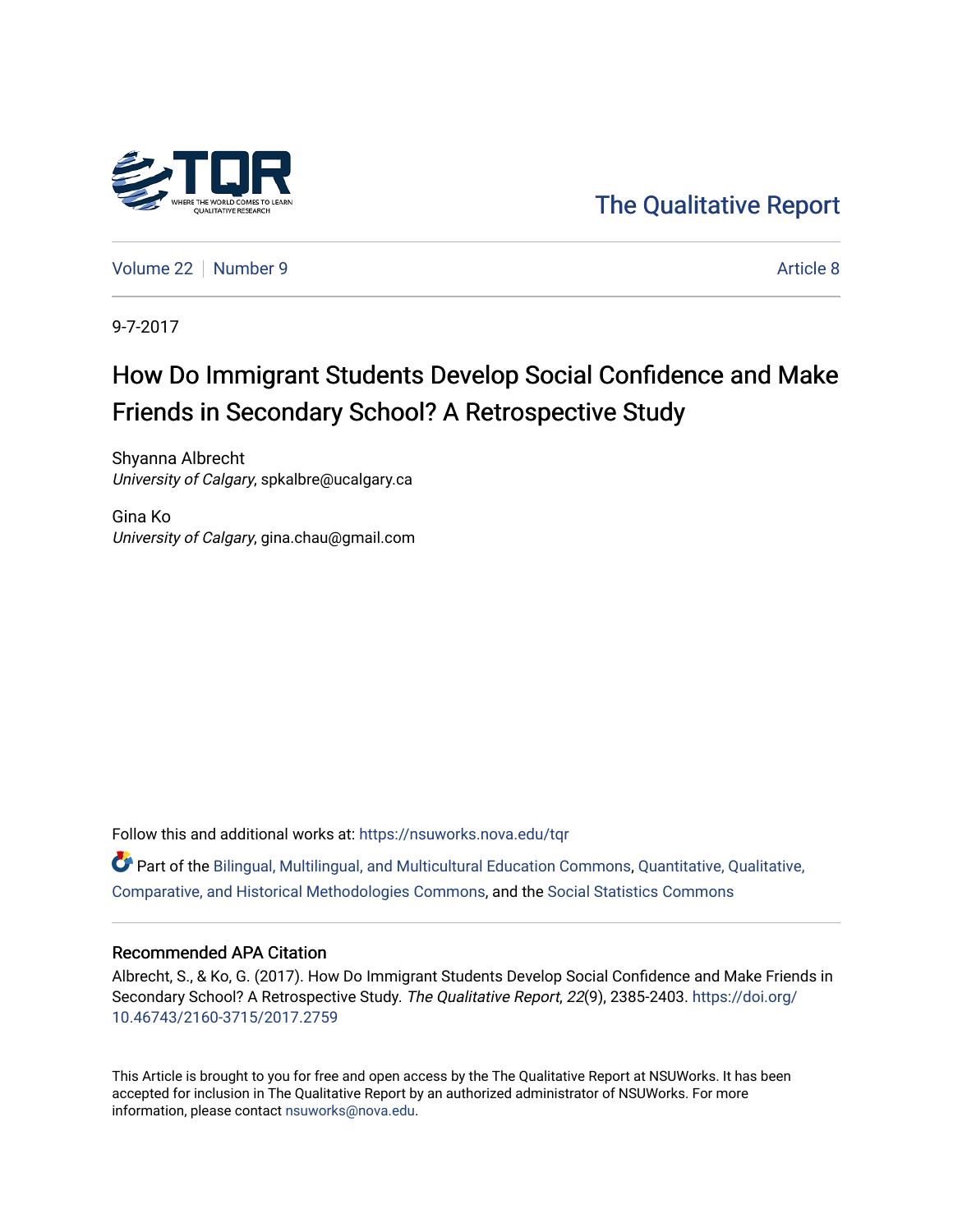

[The Qualitative Report](https://nsuworks.nova.edu/tqr) 

[Volume 22](https://nsuworks.nova.edu/tqr/vol22) [Number 9](https://nsuworks.nova.edu/tqr/vol22/iss9) [Article 8](https://nsuworks.nova.edu/tqr/vol22/iss9/8) Article 8

9-7-2017

# How Do Immigrant Students Develop Social Confidence and Make Friends in Secondary School? A Retrospective Study

Shyanna Albrecht University of Calgary, spkalbre@ucalgary.ca

Gina Ko University of Calgary, gina.chau@gmail.com

Follow this and additional works at: [https://nsuworks.nova.edu/tqr](https://nsuworks.nova.edu/tqr?utm_source=nsuworks.nova.edu%2Ftqr%2Fvol22%2Fiss9%2F8&utm_medium=PDF&utm_campaign=PDFCoverPages) 

Part of the [Bilingual, Multilingual, and Multicultural Education Commons,](http://network.bepress.com/hgg/discipline/785?utm_source=nsuworks.nova.edu%2Ftqr%2Fvol22%2Fiss9%2F8&utm_medium=PDF&utm_campaign=PDFCoverPages) [Quantitative, Qualitative,](http://network.bepress.com/hgg/discipline/423?utm_source=nsuworks.nova.edu%2Ftqr%2Fvol22%2Fiss9%2F8&utm_medium=PDF&utm_campaign=PDFCoverPages) [Comparative, and Historical Methodologies Commons,](http://network.bepress.com/hgg/discipline/423?utm_source=nsuworks.nova.edu%2Ftqr%2Fvol22%2Fiss9%2F8&utm_medium=PDF&utm_campaign=PDFCoverPages) and the [Social Statistics Commons](http://network.bepress.com/hgg/discipline/1275?utm_source=nsuworks.nova.edu%2Ftqr%2Fvol22%2Fiss9%2F8&utm_medium=PDF&utm_campaign=PDFCoverPages) 

#### Recommended APA Citation

Albrecht, S., & Ko, G. (2017). How Do Immigrant Students Develop Social Confidence and Make Friends in Secondary School? A Retrospective Study. The Qualitative Report, 22(9), 2385-2403. [https://doi.org/](https://doi.org/10.46743/2160-3715/2017.2759) [10.46743/2160-3715/2017.2759](https://doi.org/10.46743/2160-3715/2017.2759)

This Article is brought to you for free and open access by the The Qualitative Report at NSUWorks. It has been accepted for inclusion in The Qualitative Report by an authorized administrator of NSUWorks. For more information, please contact [nsuworks@nova.edu.](mailto:nsuworks@nova.edu)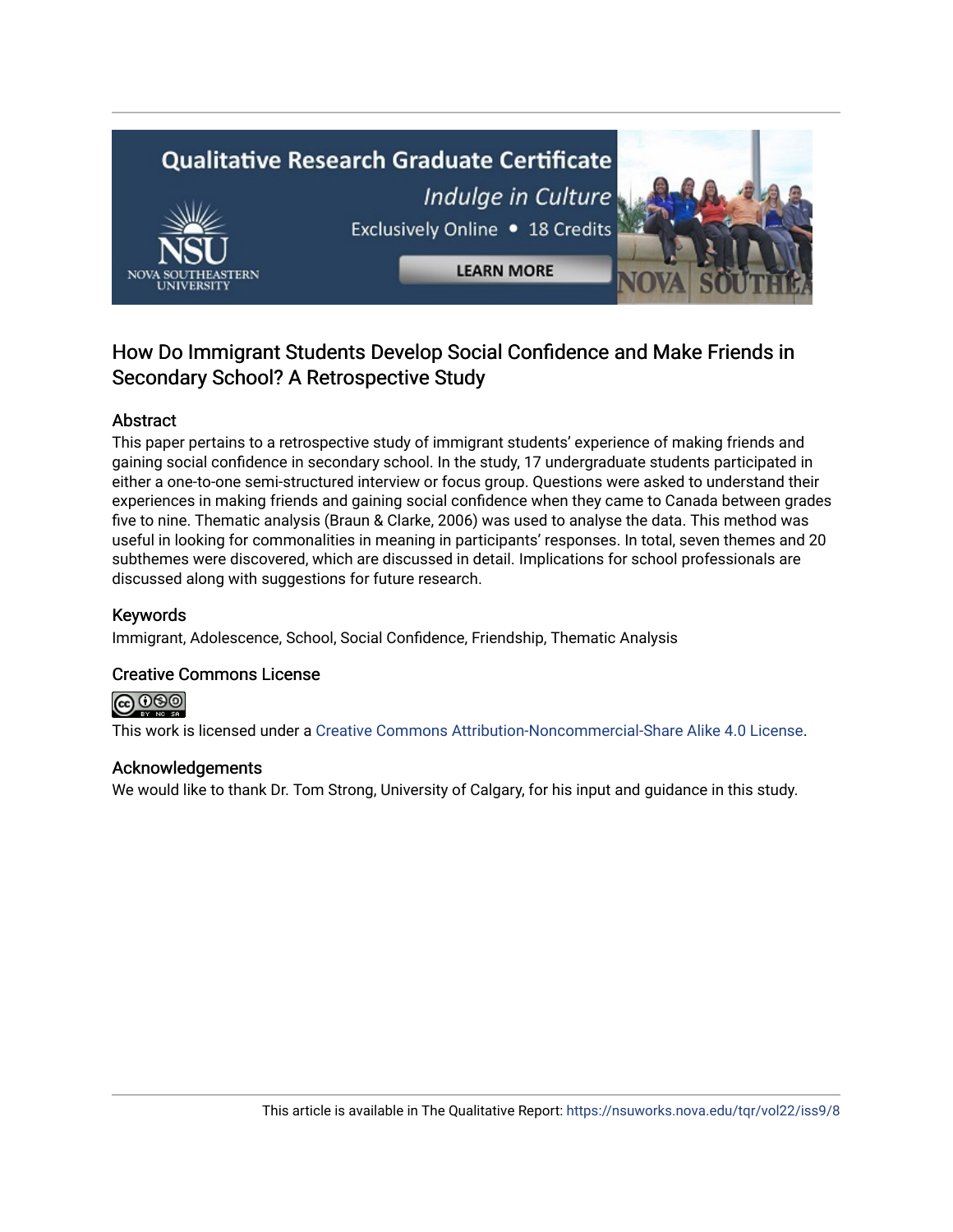# **Qualitative Research Graduate Certificate** Indulge in Culture Exclusively Online . 18 Credits **LEARN MORE**

# How Do Immigrant Students Develop Social Confidence and Make Friends in Secondary School? A Retrospective Study

# Abstract

This paper pertains to a retrospective study of immigrant students' experience of making friends and gaining social confidence in secondary school. In the study, 17 undergraduate students participated in either a one-to-one semi-structured interview or focus group. Questions were asked to understand their experiences in making friends and gaining social confidence when they came to Canada between grades five to nine. Thematic analysis (Braun & Clarke, 2006) was used to analyse the data. This method was useful in looking for commonalities in meaning in participants' responses. In total, seven themes and 20 subthemes were discovered, which are discussed in detail. Implications for school professionals are discussed along with suggestions for future research.

# Keywords

Immigrant, Adolescence, School, Social Confidence, Friendship, Thematic Analysis

# Creative Commons License



This work is licensed under a [Creative Commons Attribution-Noncommercial-Share Alike 4.0 License](https://creativecommons.org/licenses/by-nc-sa/4.0/).

# Acknowledgements

We would like to thank Dr. Tom Strong, University of Calgary, for his input and guidance in this study.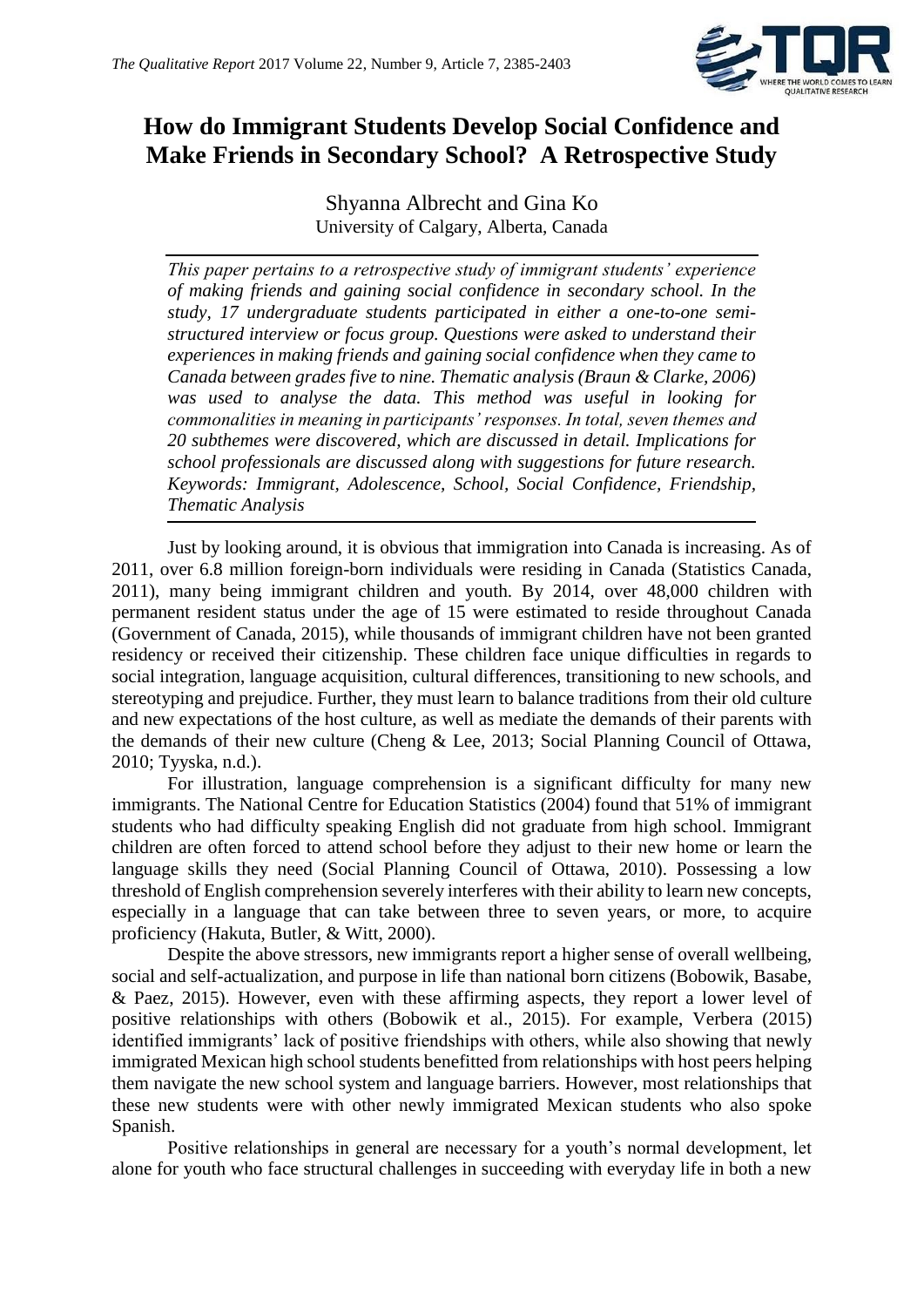

# **How do Immigrant Students Develop Social Confidence and Make Friends in Secondary School? A Retrospective Study**

Shyanna Albrecht and Gina Ko University of Calgary, Alberta, Canada

*This paper pertains to a retrospective study of immigrant students' experience of making friends and gaining social confidence in secondary school. In the study, 17 undergraduate students participated in either a one-to-one semistructured interview or focus group. Questions were asked to understand their experiences in making friends and gaining social confidence when they came to Canada between grades five to nine. Thematic analysis (Braun & Clarke, 2006) was used to analyse the data. This method was useful in looking for commonalities in meaning in participants' responses. In total, seven themes and 20 subthemes were discovered, which are discussed in detail. Implications for school professionals are discussed along with suggestions for future research. Keywords: Immigrant, Adolescence, School, Social Confidence, Friendship, Thematic Analysis*

Just by looking around, it is obvious that immigration into Canada is increasing. As of 2011, over 6.8 million foreign-born individuals were residing in Canada (Statistics Canada, 2011), many being immigrant children and youth. By 2014, over 48,000 children with permanent resident status under the age of 15 were estimated to reside throughout Canada (Government of Canada, 2015), while thousands of immigrant children have not been granted residency or received their citizenship. These children face unique difficulties in regards to social integration, language acquisition, cultural differences, transitioning to new schools, and stereotyping and prejudice. Further, they must learn to balance traditions from their old culture and new expectations of the host culture, as well as mediate the demands of their parents with the demands of their new culture (Cheng & Lee, 2013; Social Planning Council of Ottawa, 2010; Tyyska, n.d.).

For illustration, language comprehension is a significant difficulty for many new immigrants. The National Centre for Education Statistics (2004) found that 51% of immigrant students who had difficulty speaking English did not graduate from high school. Immigrant children are often forced to attend school before they adjust to their new home or learn the language skills they need (Social Planning Council of Ottawa, 2010). Possessing a low threshold of English comprehension severely interferes with their ability to learn new concepts, especially in a language that can take between three to seven years, or more, to acquire proficiency (Hakuta, Butler, & Witt, 2000).

Despite the above stressors, new immigrants report a higher sense of overall wellbeing, social and self-actualization, and purpose in life than national born citizens (Bobowik, Basabe, & Paez, 2015). However, even with these affirming aspects, they report a lower level of positive relationships with others (Bobowik et al., 2015). For example, Verbera (2015) identified immigrants' lack of positive friendships with others, while also showing that newly immigrated Mexican high school students benefitted from relationships with host peers helping them navigate the new school system and language barriers. However, most relationships that these new students were with other newly immigrated Mexican students who also spoke Spanish.

Positive relationships in general are necessary for a youth's normal development, let alone for youth who face structural challenges in succeeding with everyday life in both a new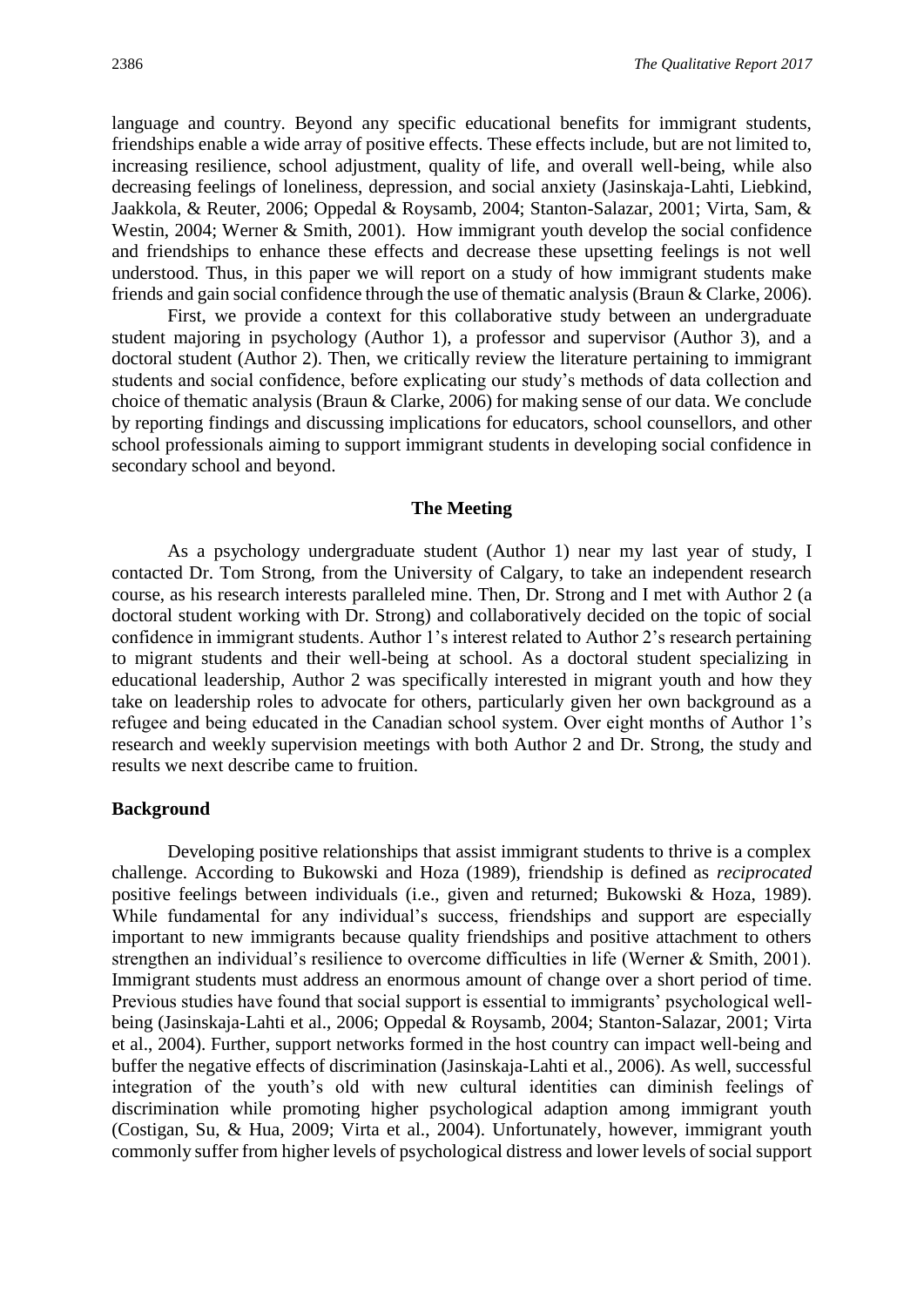language and country. Beyond any specific educational benefits for immigrant students, friendships enable a wide array of positive effects. These effects include, but are not limited to, increasing resilience, school adjustment, quality of life, and overall well-being, while also decreasing feelings of loneliness, depression, and social anxiety (Jasinskaja-Lahti, Liebkind, Jaakkola, & Reuter, 2006; Oppedal & Roysamb, 2004; Stanton-Salazar, 2001; Virta, Sam, & Westin, 2004; Werner & Smith, 2001). How immigrant youth develop the social confidence and friendships to enhance these effects and decrease these upsetting feelings is not well understood. Thus, in this paper we will report on a study of how immigrant students make friends and gain social confidence through the use of thematic analysis (Braun & Clarke, 2006).

First, we provide a context for this collaborative study between an undergraduate student majoring in psychology (Author 1), a professor and supervisor (Author 3), and a doctoral student (Author 2). Then, we critically review the literature pertaining to immigrant students and social confidence, before explicating our study's methods of data collection and choice of thematic analysis (Braun & Clarke, 2006) for making sense of our data. We conclude by reporting findings and discussing implications for educators, school counsellors, and other school professionals aiming to support immigrant students in developing social confidence in secondary school and beyond.

#### **The Meeting**

As a psychology undergraduate student (Author 1) near my last year of study, I contacted Dr. Tom Strong, from the University of Calgary, to take an independent research course, as his research interests paralleled mine. Then, Dr. Strong and I met with Author 2 (a doctoral student working with Dr. Strong) and collaboratively decided on the topic of social confidence in immigrant students. Author 1's interest related to Author 2's research pertaining to migrant students and their well-being at school. As a doctoral student specializing in educational leadership, Author 2 was specifically interested in migrant youth and how they take on leadership roles to advocate for others, particularly given her own background as a refugee and being educated in the Canadian school system. Over eight months of Author 1's research and weekly supervision meetings with both Author 2 and Dr. Strong, the study and results we next describe came to fruition.

#### **Background**

Developing positive relationships that assist immigrant students to thrive is a complex challenge. According to Bukowski and Hoza (1989), friendship is defined as *reciprocated* positive feelings between individuals (i.e., given and returned; Bukowski & Hoza, 1989). While fundamental for any individual's success, friendships and support are especially important to new immigrants because quality friendships and positive attachment to others strengthen an individual's resilience to overcome difficulties in life (Werner & Smith, 2001). Immigrant students must address an enormous amount of change over a short period of time. Previous studies have found that social support is essential to immigrants' psychological wellbeing (Jasinskaja-Lahti et al., 2006; Oppedal & Roysamb, 2004; Stanton-Salazar, 2001; Virta et al., 2004). Further, support networks formed in the host country can impact well-being and buffer the negative effects of discrimination (Jasinskaja-Lahti et al., 2006). As well, successful integration of the youth's old with new cultural identities can diminish feelings of discrimination while promoting higher psychological adaption among immigrant youth (Costigan, Su, & Hua, 2009; Virta et al., 2004). Unfortunately, however, immigrant youth commonly suffer from higher levels of psychological distress and lower levels of social support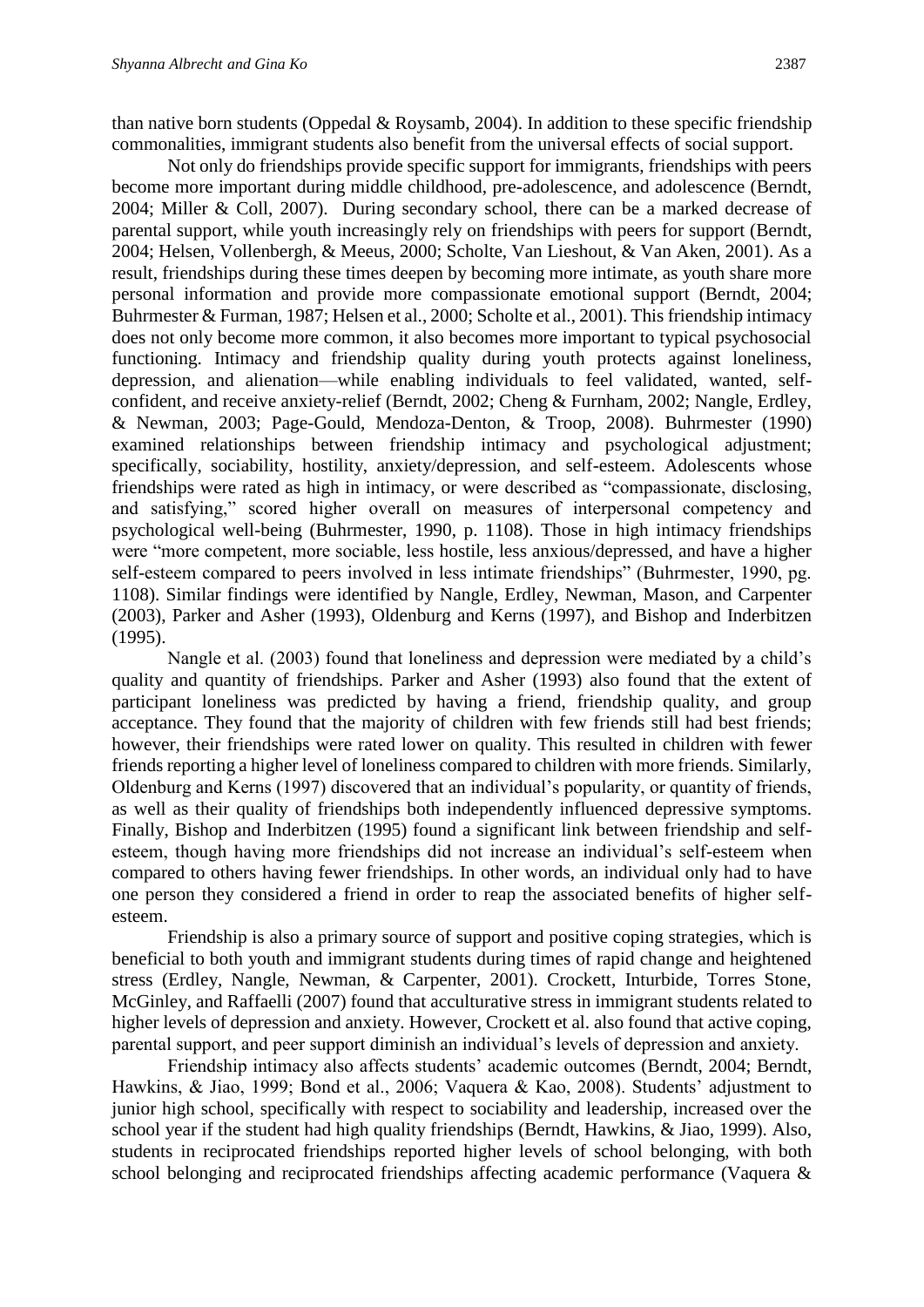than native born students (Oppedal & Roysamb, 2004). In addition to these specific friendship commonalities, immigrant students also benefit from the universal effects of social support.

Not only do friendships provide specific support for immigrants, friendships with peers become more important during middle childhood, pre-adolescence, and adolescence (Berndt, 2004; Miller & Coll, 2007). During secondary school, there can be a marked decrease of parental support, while youth increasingly rely on friendships with peers for support (Berndt, 2004; Helsen, Vollenbergh, & Meeus, 2000; Scholte, Van Lieshout, & Van Aken, 2001). As a result, friendships during these times deepen by becoming more intimate, as youth share more personal information and provide more compassionate emotional support (Berndt, 2004; Buhrmester & Furman, 1987; Helsen et al., 2000; Scholte et al., 2001). This friendship intimacy does not only become more common, it also becomes more important to typical psychosocial functioning. Intimacy and friendship quality during youth protects against loneliness, depression, and alienation—while enabling individuals to feel validated, wanted, selfconfident, and receive anxiety-relief (Berndt, 2002; Cheng & Furnham, 2002; Nangle, Erdley, & Newman, 2003; Page-Gould, Mendoza-Denton, & Troop, 2008). Buhrmester (1990) examined relationships between friendship intimacy and psychological adjustment; specifically, sociability, hostility, anxiety/depression, and self-esteem. Adolescents whose friendships were rated as high in intimacy, or were described as "compassionate, disclosing, and satisfying," scored higher overall on measures of interpersonal competency and psychological well-being (Buhrmester, 1990, p. 1108). Those in high intimacy friendships were "more competent, more sociable, less hostile, less anxious/depressed, and have a higher self-esteem compared to peers involved in less intimate friendships" (Buhrmester, 1990, pg. 1108). Similar findings were identified by Nangle, Erdley, Newman, Mason, and Carpenter (2003), Parker and Asher (1993), Oldenburg and Kerns (1997), and Bishop and Inderbitzen (1995).

Nangle et al. (2003) found that loneliness and depression were mediated by a child's quality and quantity of friendships. Parker and Asher (1993) also found that the extent of participant loneliness was predicted by having a friend, friendship quality, and group acceptance. They found that the majority of children with few friends still had best friends; however, their friendships were rated lower on quality. This resulted in children with fewer friends reporting a higher level of loneliness compared to children with more friends. Similarly, Oldenburg and Kerns (1997) discovered that an individual's popularity, or quantity of friends, as well as their quality of friendships both independently influenced depressive symptoms. Finally, Bishop and Inderbitzen (1995) found a significant link between friendship and selfesteem, though having more friendships did not increase an individual's self-esteem when compared to others having fewer friendships. In other words, an individual only had to have one person they considered a friend in order to reap the associated benefits of higher selfesteem.

Friendship is also a primary source of support and positive coping strategies, which is beneficial to both youth and immigrant students during times of rapid change and heightened stress (Erdley, Nangle, Newman, & Carpenter, 2001). Crockett, Inturbide, Torres Stone, McGinley, and Raffaelli (2007) found that acculturative stress in immigrant students related to higher levels of depression and anxiety. However, Crockett et al. also found that active coping, parental support, and peer support diminish an individual's levels of depression and anxiety.

Friendship intimacy also affects students' academic outcomes (Berndt, 2004; Berndt, Hawkins, & Jiao, 1999; Bond et al., 2006; Vaquera & Kao, 2008). Students' adjustment to junior high school, specifically with respect to sociability and leadership, increased over the school year if the student had high quality friendships (Berndt, Hawkins, & Jiao, 1999). Also, students in reciprocated friendships reported higher levels of school belonging, with both school belonging and reciprocated friendships affecting academic performance (Vaquera &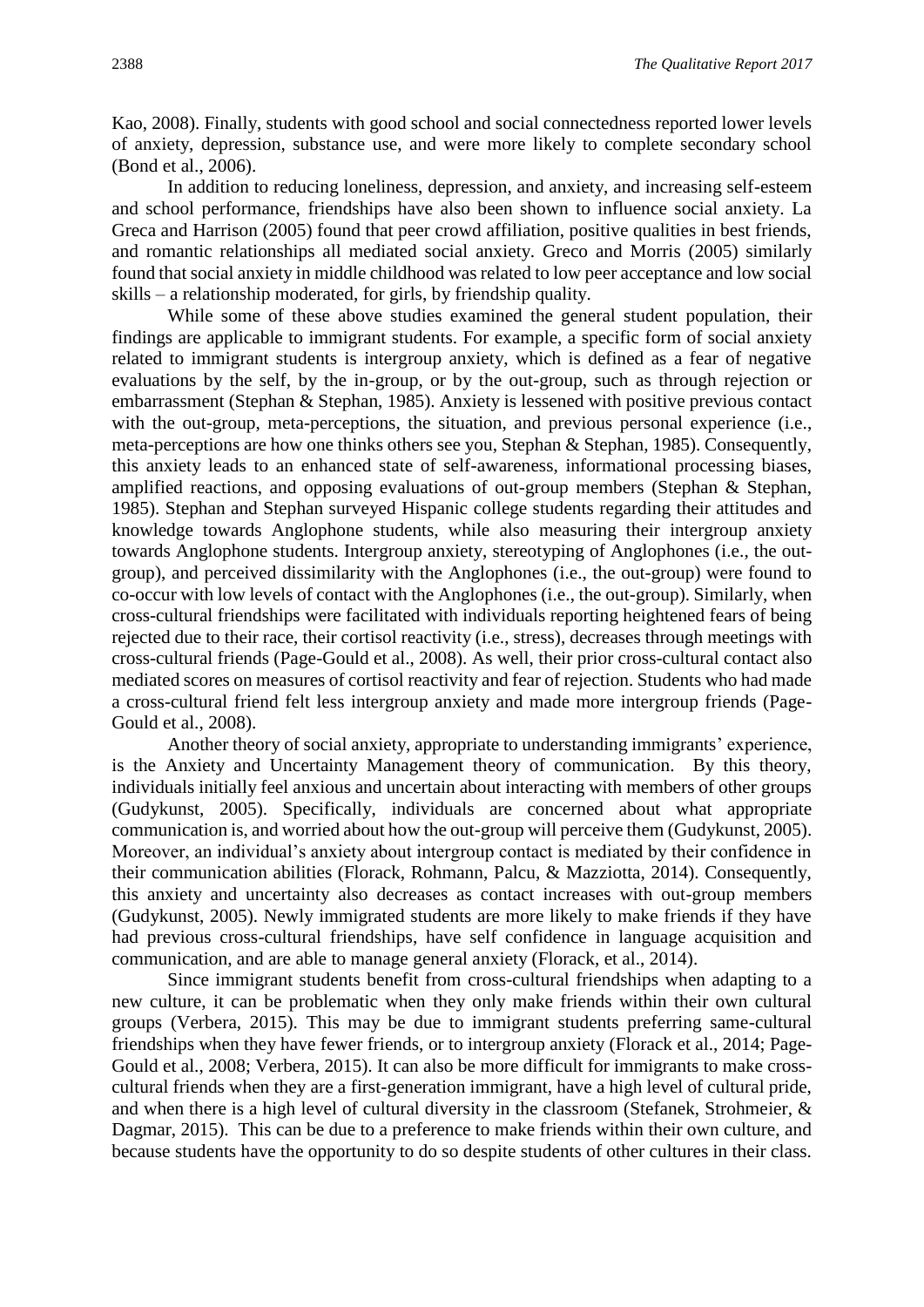Kao, 2008). Finally, students with good school and social connectedness reported lower levels of anxiety, depression, substance use, and were more likely to complete secondary school (Bond et al., 2006).

In addition to reducing loneliness, depression, and anxiety, and increasing self-esteem and school performance, friendships have also been shown to influence social anxiety. La Greca and Harrison (2005) found that peer crowd affiliation, positive qualities in best friends, and romantic relationships all mediated social anxiety. Greco and Morris (2005) similarly found that social anxiety in middle childhood was related to low peer acceptance and low social skills – a relationship moderated, for girls, by friendship quality.

While some of these above studies examined the general student population, their findings are applicable to immigrant students. For example, a specific form of social anxiety related to immigrant students is intergroup anxiety, which is defined as a fear of negative evaluations by the self, by the in-group, or by the out-group, such as through rejection or embarrassment (Stephan & Stephan, 1985). Anxiety is lessened with positive previous contact with the out-group, meta-perceptions, the situation, and previous personal experience (i.e., meta-perceptions are how one thinks others see you, Stephan & Stephan, 1985). Consequently, this anxiety leads to an enhanced state of self-awareness, informational processing biases, amplified reactions, and opposing evaluations of out-group members (Stephan & Stephan, 1985). Stephan and Stephan surveyed Hispanic college students regarding their attitudes and knowledge towards Anglophone students, while also measuring their intergroup anxiety towards Anglophone students. Intergroup anxiety, stereotyping of Anglophones (i.e., the outgroup), and perceived dissimilarity with the Anglophones (i.e., the out-group) were found to co-occur with low levels of contact with the Anglophones (i.e., the out-group). Similarly, when cross-cultural friendships were facilitated with individuals reporting heightened fears of being rejected due to their race, their cortisol reactivity (i.e., stress), decreases through meetings with cross-cultural friends (Page-Gould et al., 2008). As well, their prior cross-cultural contact also mediated scores on measures of cortisol reactivity and fear of rejection. Students who had made a cross-cultural friend felt less intergroup anxiety and made more intergroup friends (Page-Gould et al., 2008).

Another theory of social anxiety, appropriate to understanding immigrants' experience, is the Anxiety and Uncertainty Management theory of communication. By this theory, individuals initially feel anxious and uncertain about interacting with members of other groups (Gudykunst, 2005). Specifically, individuals are concerned about what appropriate communication is, and worried about how the out-group will perceive them (Gudykunst, 2005). Moreover, an individual's anxiety about intergroup contact is mediated by their confidence in their communication abilities (Florack, Rohmann, Palcu, & Mazziotta, 2014). Consequently, this anxiety and uncertainty also decreases as contact increases with out-group members (Gudykunst, 2005). Newly immigrated students are more likely to make friends if they have had previous cross-cultural friendships, have self confidence in language acquisition and communication, and are able to manage general anxiety (Florack, et al., 2014).

Since immigrant students benefit from cross-cultural friendships when adapting to a new culture, it can be problematic when they only make friends within their own cultural groups (Verbera, 2015). This may be due to immigrant students preferring same-cultural friendships when they have fewer friends, or to intergroup anxiety (Florack et al., 2014; Page-Gould et al., 2008; Verbera, 2015). It can also be more difficult for immigrants to make crosscultural friends when they are a first-generation immigrant, have a high level of cultural pride, and when there is a high level of cultural diversity in the classroom (Stefanek, Strohmeier, & Dagmar, 2015). This can be due to a preference to make friends within their own culture, and because students have the opportunity to do so despite students of other cultures in their class.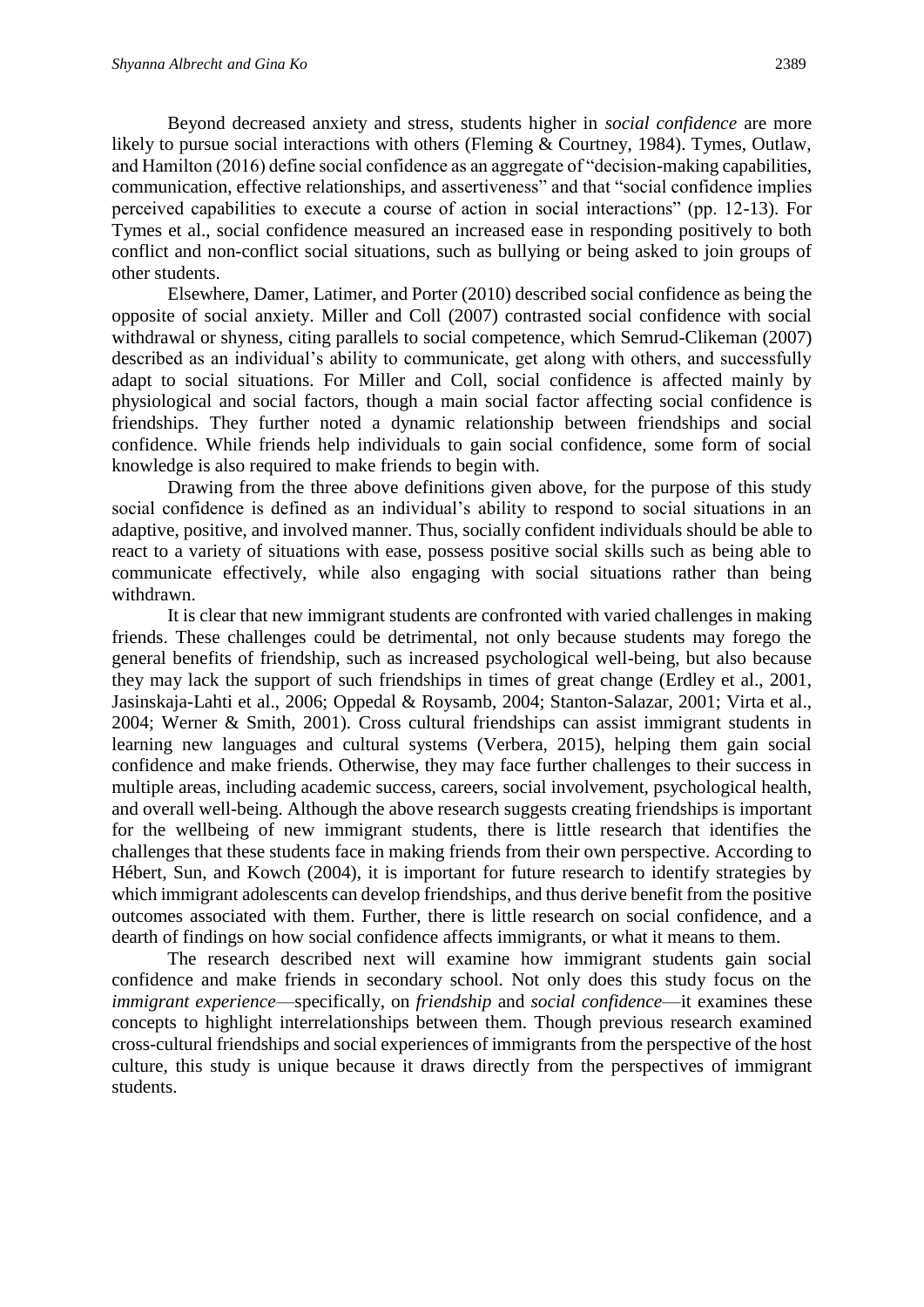Beyond decreased anxiety and stress, students higher in *social confidence* are more likely to pursue social interactions with others (Fleming & Courtney, 1984). Tymes, Outlaw, and Hamilton (2016) define social confidence as an aggregate of "decision-making capabilities, communication, effective relationships, and assertiveness" and that "social confidence implies perceived capabilities to execute a course of action in social interactions" (pp. 12-13). For Tymes et al., social confidence measured an increased ease in responding positively to both conflict and non-conflict social situations, such as bullying or being asked to join groups of other students.

Elsewhere, Damer, Latimer, and Porter (2010) described social confidence as being the opposite of social anxiety. Miller and Coll (2007) contrasted social confidence with social withdrawal or shyness, citing parallels to social competence, which Semrud-Clikeman (2007) described as an individual's ability to communicate, get along with others, and successfully adapt to social situations. For Miller and Coll, social confidence is affected mainly by physiological and social factors, though a main social factor affecting social confidence is friendships. They further noted a dynamic relationship between friendships and social confidence. While friends help individuals to gain social confidence, some form of social knowledge is also required to make friends to begin with.

Drawing from the three above definitions given above, for the purpose of this study social confidence is defined as an individual's ability to respond to social situations in an adaptive, positive, and involved manner. Thus, socially confident individuals should be able to react to a variety of situations with ease, possess positive social skills such as being able to communicate effectively, while also engaging with social situations rather than being withdrawn.

It is clear that new immigrant students are confronted with varied challenges in making friends. These challenges could be detrimental, not only because students may forego the general benefits of friendship, such as increased psychological well-being, but also because they may lack the support of such friendships in times of great change (Erdley et al., 2001, Jasinskaja-Lahti et al., 2006; Oppedal & Roysamb, 2004; Stanton-Salazar, 2001; Virta et al., 2004; Werner & Smith, 2001). Cross cultural friendships can assist immigrant students in learning new languages and cultural systems (Verbera, 2015), helping them gain social confidence and make friends. Otherwise, they may face further challenges to their success in multiple areas, including academic success, careers, social involvement, psychological health, and overall well-being. Although the above research suggests creating friendships is important for the wellbeing of new immigrant students, there is little research that identifies the challenges that these students face in making friends from their own perspective. According to Hébert, Sun, and Kowch (2004), it is important for future research to identify strategies by which immigrant adolescents can develop friendships, and thus derive benefit from the positive outcomes associated with them. Further, there is little research on social confidence, and a dearth of findings on how social confidence affects immigrants, or what it means to them.

The research described next will examine how immigrant students gain social confidence and make friends in secondary school. Not only does this study focus on the *immigrant experience*—specifically, on *friendship* and *social confidence*—it examines these concepts to highlight interrelationships between them. Though previous research examined cross-cultural friendships and social experiences of immigrants from the perspective of the host culture, this study is unique because it draws directly from the perspectives of immigrant students.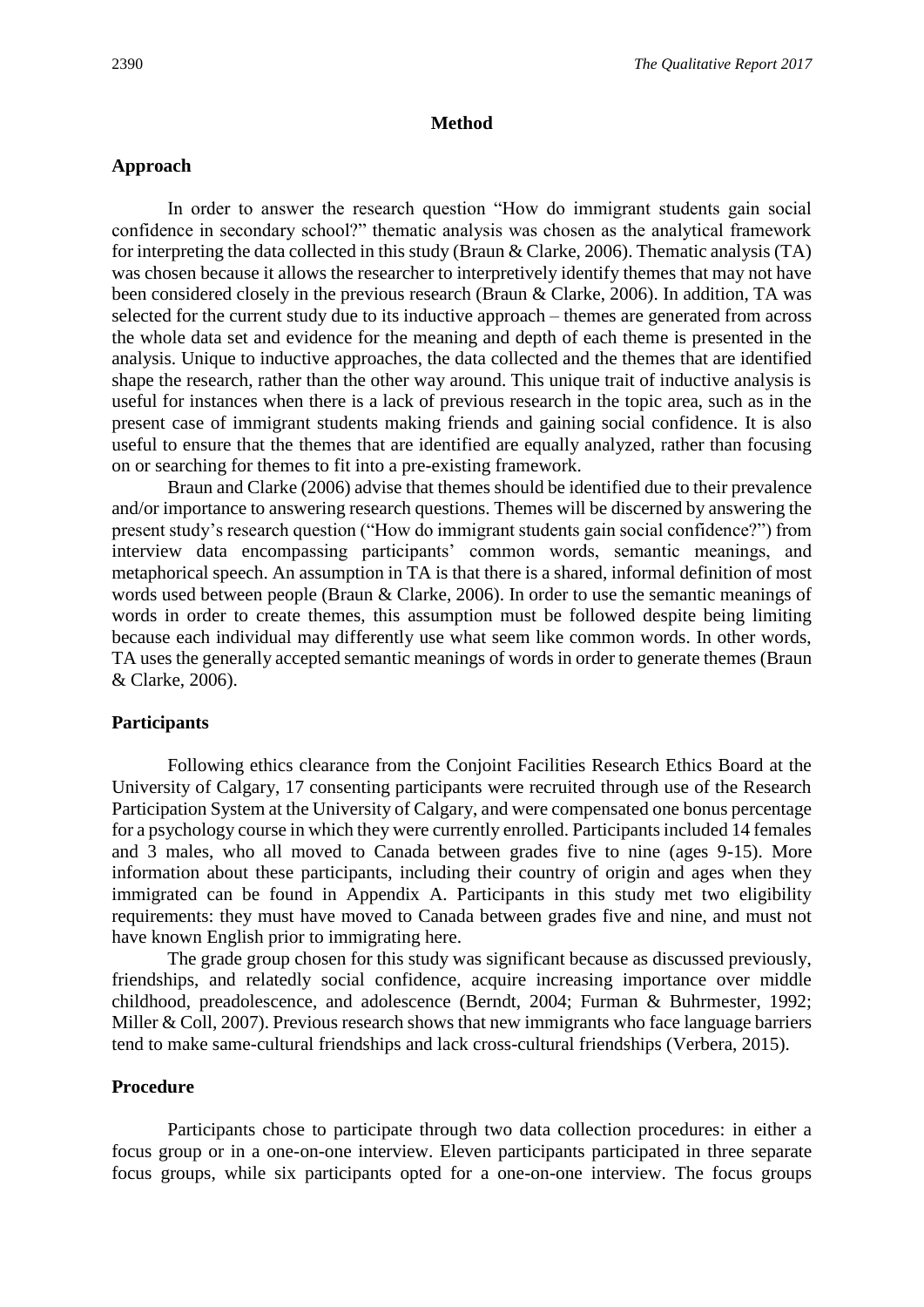#### **Method**

## **Approach**

In order to answer the research question "How do immigrant students gain social confidence in secondary school?" thematic analysis was chosen as the analytical framework for interpreting the data collected in this study (Braun & Clarke, 2006). Thematic analysis (TA) was chosen because it allows the researcher to interpretively identify themes that may not have been considered closely in the previous research (Braun & Clarke, 2006). In addition, TA was selected for the current study due to its inductive approach – themes are generated from across the whole data set and evidence for the meaning and depth of each theme is presented in the analysis. Unique to inductive approaches, the data collected and the themes that are identified shape the research, rather than the other way around. This unique trait of inductive analysis is useful for instances when there is a lack of previous research in the topic area, such as in the present case of immigrant students making friends and gaining social confidence. It is also useful to ensure that the themes that are identified are equally analyzed, rather than focusing on or searching for themes to fit into a pre-existing framework.

Braun and Clarke (2006) advise that themes should be identified due to their prevalence and/or importance to answering research questions. Themes will be discerned by answering the present study's research question ("How do immigrant students gain social confidence?") from interview data encompassing participants' common words, semantic meanings, and metaphorical speech. An assumption in TA is that there is a shared, informal definition of most words used between people (Braun & Clarke, 2006). In order to use the semantic meanings of words in order to create themes, this assumption must be followed despite being limiting because each individual may differently use what seem like common words. In other words, TA uses the generally accepted semantic meanings of words in order to generate themes (Braun & Clarke, 2006).

# **Participants**

Following ethics clearance from the Conjoint Facilities Research Ethics Board at the University of Calgary, 17 consenting participants were recruited through use of the Research Participation System at the University of Calgary, and were compensated one bonus percentage for a psychology course in which they were currently enrolled. Participants included 14 females and 3 males, who all moved to Canada between grades five to nine (ages 9-15). More information about these participants, including their country of origin and ages when they immigrated can be found in Appendix A. Participants in this study met two eligibility requirements: they must have moved to Canada between grades five and nine, and must not have known English prior to immigrating here.

The grade group chosen for this study was significant because as discussed previously, friendships, and relatedly social confidence, acquire increasing importance over middle childhood, preadolescence, and adolescence (Berndt, 2004; Furman & Buhrmester, 1992; Miller & Coll, 2007). Previous research shows that new immigrants who face language barriers tend to make same-cultural friendships and lack cross-cultural friendships (Verbera, 2015).

#### **Procedure**

Participants chose to participate through two data collection procedures: in either a focus group or in a one-on-one interview. Eleven participants participated in three separate focus groups, while six participants opted for a one-on-one interview. The focus groups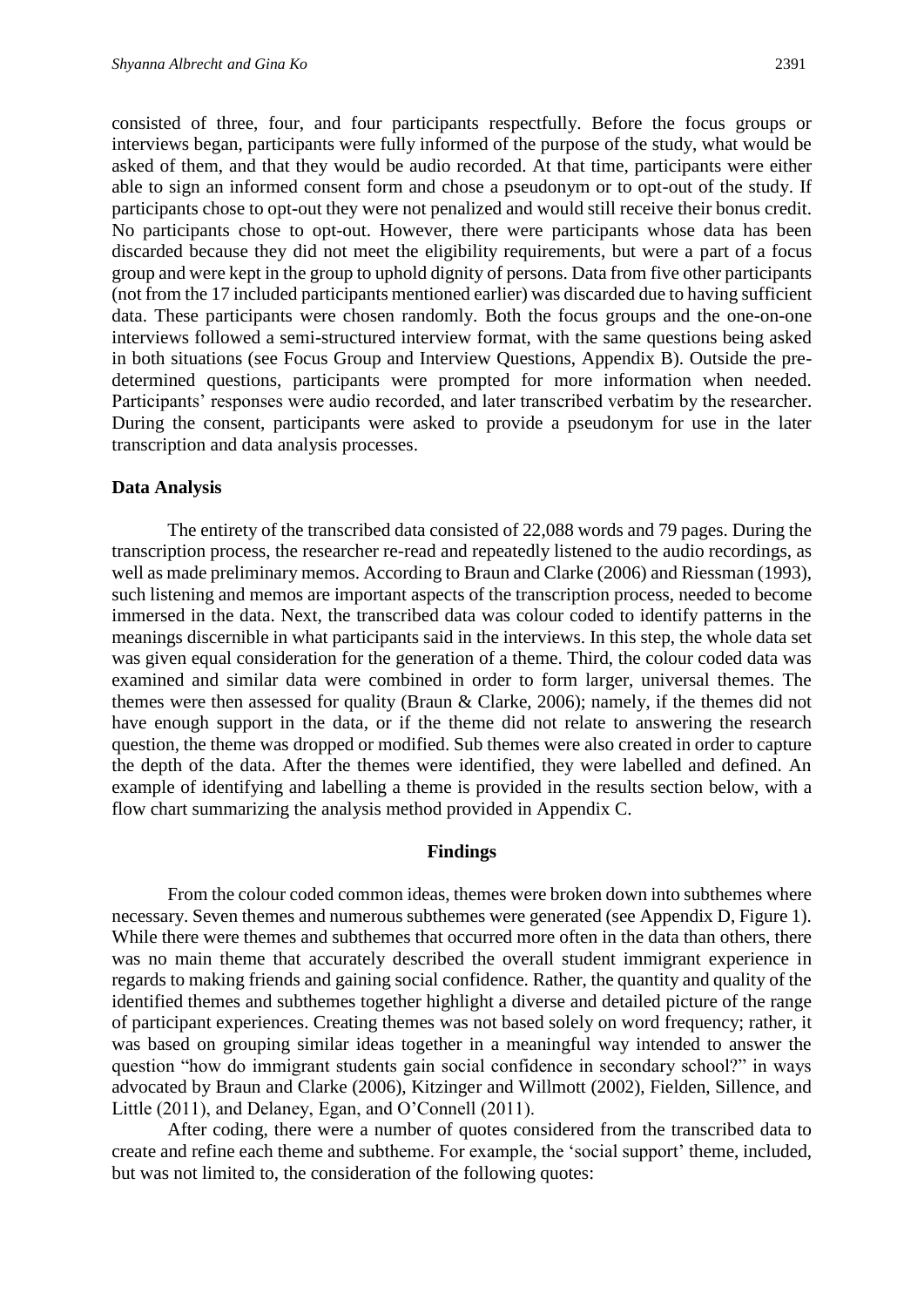consisted of three, four, and four participants respectfully. Before the focus groups or interviews began, participants were fully informed of the purpose of the study, what would be asked of them, and that they would be audio recorded. At that time, participants were either able to sign an informed consent form and chose a pseudonym or to opt-out of the study. If participants chose to opt-out they were not penalized and would still receive their bonus credit. No participants chose to opt-out. However, there were participants whose data has been discarded because they did not meet the eligibility requirements, but were a part of a focus group and were kept in the group to uphold dignity of persons. Data from five other participants (not from the 17 included participants mentioned earlier) was discarded due to having sufficient data. These participants were chosen randomly. Both the focus groups and the one-on-one interviews followed a semi-structured interview format, with the same questions being asked in both situations (see Focus Group and Interview Questions, Appendix B). Outside the predetermined questions, participants were prompted for more information when needed. Participants' responses were audio recorded, and later transcribed verbatim by the researcher.

During the consent, participants were asked to provide a pseudonym for use in the later

#### **Data Analysis**

transcription and data analysis processes.

The entirety of the transcribed data consisted of 22,088 words and 79 pages. During the transcription process, the researcher re-read and repeatedly listened to the audio recordings, as well as made preliminary memos. According to Braun and Clarke (2006) and Riessman (1993), such listening and memos are important aspects of the transcription process, needed to become immersed in the data. Next, the transcribed data was colour coded to identify patterns in the meanings discernible in what participants said in the interviews. In this step, the whole data set was given equal consideration for the generation of a theme. Third, the colour coded data was examined and similar data were combined in order to form larger, universal themes. The themes were then assessed for quality (Braun & Clarke, 2006); namely, if the themes did not have enough support in the data, or if the theme did not relate to answering the research question, the theme was dropped or modified. Sub themes were also created in order to capture the depth of the data. After the themes were identified, they were labelled and defined. An example of identifying and labelling a theme is provided in the results section below, with a flow chart summarizing the analysis method provided in Appendix C.

#### **Findings**

From the colour coded common ideas, themes were broken down into subthemes where necessary. Seven themes and numerous subthemes were generated (see Appendix D, Figure 1). While there were themes and subthemes that occurred more often in the data than others, there was no main theme that accurately described the overall student immigrant experience in regards to making friends and gaining social confidence. Rather, the quantity and quality of the identified themes and subthemes together highlight a diverse and detailed picture of the range of participant experiences. Creating themes was not based solely on word frequency; rather, it was based on grouping similar ideas together in a meaningful way intended to answer the question "how do immigrant students gain social confidence in secondary school?" in ways advocated by Braun and Clarke (2006), Kitzinger and Willmott (2002), Fielden, Sillence, and Little (2011), and Delaney, Egan, and O'Connell (2011).

After coding, there were a number of quotes considered from the transcribed data to create and refine each theme and subtheme. For example, the 'social support' theme, included, but was not limited to, the consideration of the following quotes: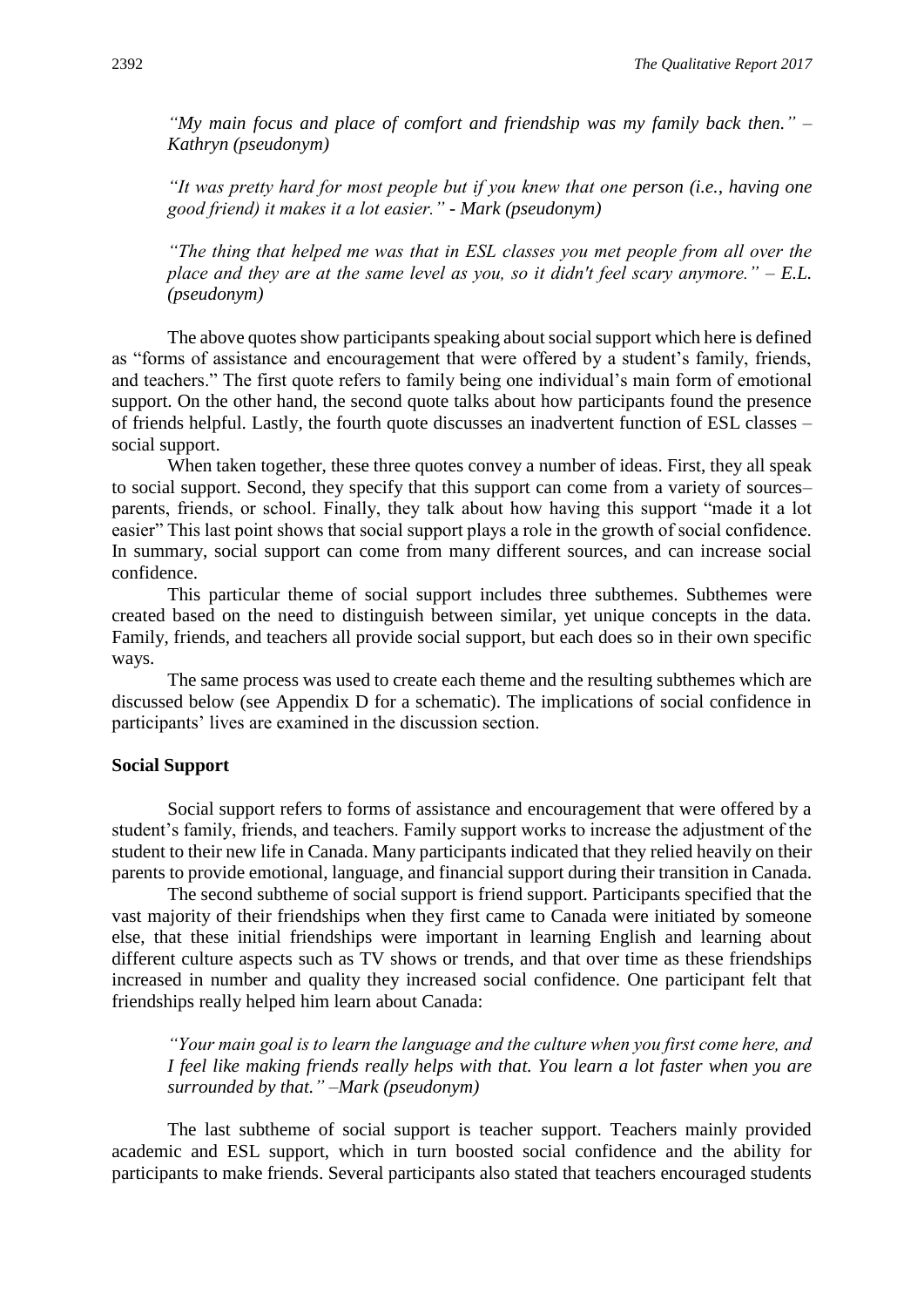*"My main focus and place of comfort and friendship was my family back then." – Kathryn (pseudonym)*

*"It was pretty hard for most people but if you knew that one person (i.e., having one good friend) it makes it a lot easier." - Mark (pseudonym)*

*"The thing that helped me was that in ESL classes you met people from all over the place and they are at the same level as you, so it didn't feel scary anymore." – E.L. (pseudonym)*

The above quotes show participants speaking about social support which here is defined as "forms of assistance and encouragement that were offered by a student's family, friends, and teachers." The first quote refers to family being one individual's main form of emotional support. On the other hand, the second quote talks about how participants found the presence of friends helpful. Lastly, the fourth quote discusses an inadvertent function of ESL classes – social support.

When taken together, these three quotes convey a number of ideas. First, they all speak to social support. Second, they specify that this support can come from a variety of sources– parents, friends, or school. Finally, they talk about how having this support "made it a lot easier" This last point shows that social support plays a role in the growth of social confidence. In summary, social support can come from many different sources, and can increase social confidence.

This particular theme of social support includes three subthemes. Subthemes were created based on the need to distinguish between similar, yet unique concepts in the data. Family, friends, and teachers all provide social support, but each does so in their own specific ways.

The same process was used to create each theme and the resulting subthemes which are discussed below (see Appendix D for a schematic). The implications of social confidence in participants' lives are examined in the discussion section.

#### **Social Support**

Social support refers to forms of assistance and encouragement that were offered by a student's family, friends, and teachers. Family support works to increase the adjustment of the student to their new life in Canada. Many participants indicated that they relied heavily on their parents to provide emotional, language, and financial support during their transition in Canada.

The second subtheme of social support is friend support. Participants specified that the vast majority of their friendships when they first came to Canada were initiated by someone else, that these initial friendships were important in learning English and learning about different culture aspects such as TV shows or trends, and that over time as these friendships increased in number and quality they increased social confidence. One participant felt that friendships really helped him learn about Canada:

*"Your main goal is to learn the language and the culture when you first come here, and I feel like making friends really helps with that. You learn a lot faster when you are surrounded by that." –Mark (pseudonym)*

The last subtheme of social support is teacher support. Teachers mainly provided academic and ESL support, which in turn boosted social confidence and the ability for participants to make friends. Several participants also stated that teachers encouraged students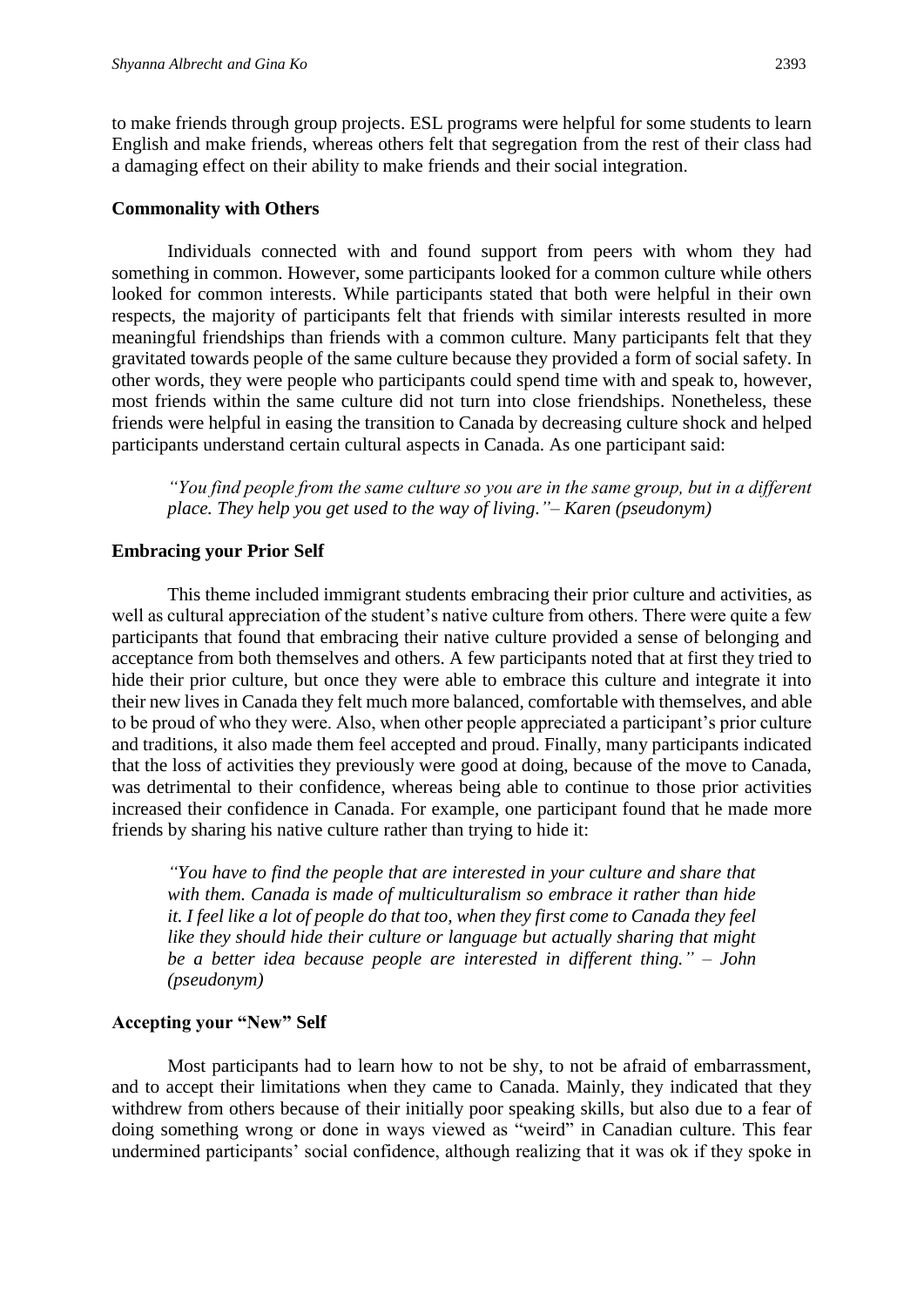to make friends through group projects. ESL programs were helpful for some students to learn English and make friends, whereas others felt that segregation from the rest of their class had a damaging effect on their ability to make friends and their social integration.

#### **Commonality with Others**

Individuals connected with and found support from peers with whom they had something in common. However, some participants looked for a common culture while others looked for common interests. While participants stated that both were helpful in their own respects, the majority of participants felt that friends with similar interests resulted in more meaningful friendships than friends with a common culture. Many participants felt that they gravitated towards people of the same culture because they provided a form of social safety. In other words, they were people who participants could spend time with and speak to, however, most friends within the same culture did not turn into close friendships. Nonetheless, these friends were helpful in easing the transition to Canada by decreasing culture shock and helped participants understand certain cultural aspects in Canada. As one participant said:

*"You find people from the same culture so you are in the same group, but in a different place. They help you get used to the way of living."– Karen (pseudonym)*

## **Embracing your Prior Self**

This theme included immigrant students embracing their prior culture and activities, as well as cultural appreciation of the student's native culture from others. There were quite a few participants that found that embracing their native culture provided a sense of belonging and acceptance from both themselves and others. A few participants noted that at first they tried to hide their prior culture, but once they were able to embrace this culture and integrate it into their new lives in Canada they felt much more balanced, comfortable with themselves, and able to be proud of who they were. Also, when other people appreciated a participant's prior culture and traditions, it also made them feel accepted and proud. Finally, many participants indicated that the loss of activities they previously were good at doing, because of the move to Canada, was detrimental to their confidence, whereas being able to continue to those prior activities increased their confidence in Canada. For example, one participant found that he made more friends by sharing his native culture rather than trying to hide it:

*"You have to find the people that are interested in your culture and share that with them. Canada is made of multiculturalism so embrace it rather than hide it. I feel like a lot of people do that too, when they first come to Canada they feel like they should hide their culture or language but actually sharing that might be a better idea because people are interested in different thing." – John (pseudonym)*

# **Accepting your "New" Self**

Most participants had to learn how to not be shy, to not be afraid of embarrassment, and to accept their limitations when they came to Canada. Mainly, they indicated that they withdrew from others because of their initially poor speaking skills, but also due to a fear of doing something wrong or done in ways viewed as "weird" in Canadian culture. This fear undermined participants' social confidence, although realizing that it was ok if they spoke in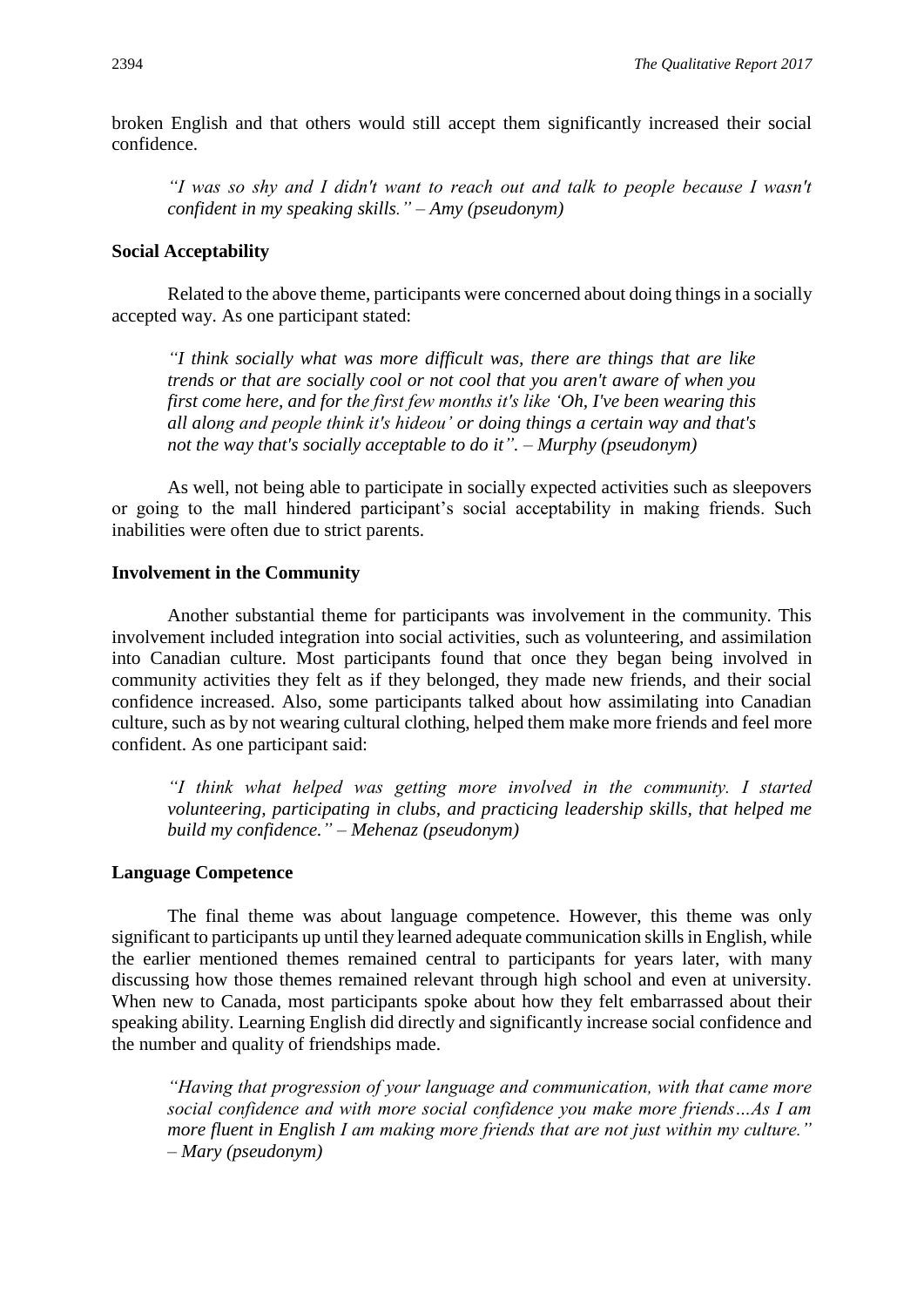broken English and that others would still accept them significantly increased their social confidence.

*"I was so shy and I didn't want to reach out and talk to people because I wasn't confident in my speaking skills." – Amy (pseudonym)*

#### **Social Acceptability**

Related to the above theme, participants were concerned about doing things in a socially accepted way. As one participant stated:

*"I think socially what was more difficult was, there are things that are like trends or that are socially cool or not cool that you aren't aware of when you first come here, and for the first few months it's like 'Oh, I've been wearing this all along and people think it's hideou' or doing things a certain way and that's not the way that's socially acceptable to do it". – Murphy (pseudonym)*

As well, not being able to participate in socially expected activities such as sleepovers or going to the mall hindered participant's social acceptability in making friends. Such inabilities were often due to strict parents.

#### **Involvement in the Community**

Another substantial theme for participants was involvement in the community. This involvement included integration into social activities, such as volunteering, and assimilation into Canadian culture. Most participants found that once they began being involved in community activities they felt as if they belonged, they made new friends, and their social confidence increased. Also, some participants talked about how assimilating into Canadian culture, such as by not wearing cultural clothing, helped them make more friends and feel more confident. As one participant said:

*"I think what helped was getting more involved in the community. I started volunteering, participating in clubs, and practicing leadership skills, that helped me build my confidence." – Mehenaz (pseudonym)*

#### **Language Competence**

The final theme was about language competence. However, this theme was only significant to participants up until they learned adequate communication skills in English, while the earlier mentioned themes remained central to participants for years later, with many discussing how those themes remained relevant through high school and even at university. When new to Canada, most participants spoke about how they felt embarrassed about their speaking ability. Learning English did directly and significantly increase social confidence and the number and quality of friendships made.

*"Having that progression of your language and communication, with that came more social confidence and with more social confidence you make more friends…As I am more fluent in English I am making more friends that are not just within my culture." – Mary (pseudonym)*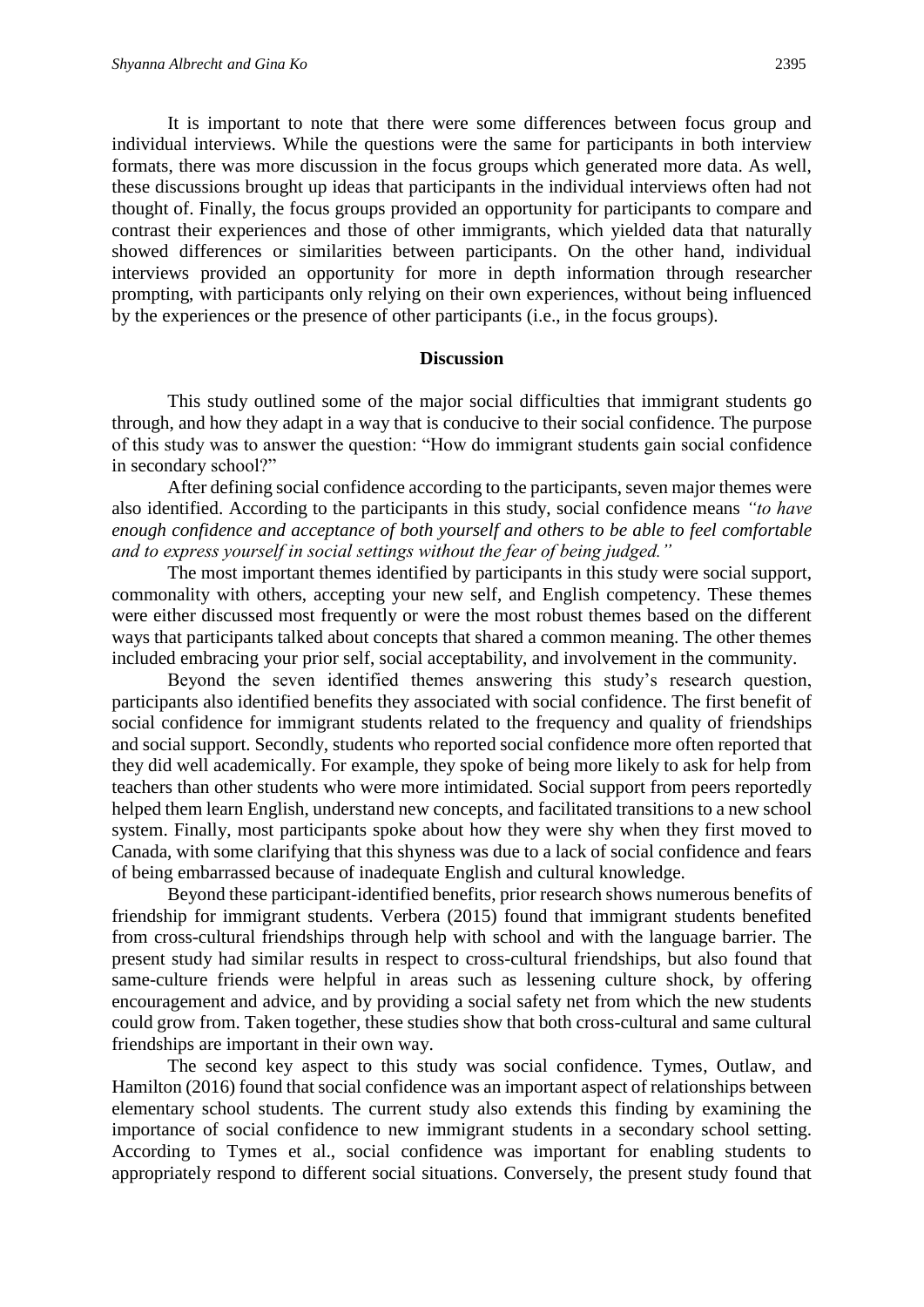It is important to note that there were some differences between focus group and individual interviews. While the questions were the same for participants in both interview formats, there was more discussion in the focus groups which generated more data. As well, these discussions brought up ideas that participants in the individual interviews often had not thought of. Finally, the focus groups provided an opportunity for participants to compare and contrast their experiences and those of other immigrants, which yielded data that naturally showed differences or similarities between participants. On the other hand, individual interviews provided an opportunity for more in depth information through researcher prompting, with participants only relying on their own experiences, without being influenced by the experiences or the presence of other participants (i.e., in the focus groups).

#### **Discussion**

This study outlined some of the major social difficulties that immigrant students go through, and how they adapt in a way that is conducive to their social confidence. The purpose of this study was to answer the question: "How do immigrant students gain social confidence in secondary school?"

After defining social confidence according to the participants, seven major themes were also identified. According to the participants in this study, social confidence means *"to have enough confidence and acceptance of both yourself and others to be able to feel comfortable and to express yourself in social settings without the fear of being judged."*

The most important themes identified by participants in this study were social support, commonality with others, accepting your new self, and English competency. These themes were either discussed most frequently or were the most robust themes based on the different ways that participants talked about concepts that shared a common meaning. The other themes included embracing your prior self, social acceptability, and involvement in the community.

Beyond the seven identified themes answering this study's research question, participants also identified benefits they associated with social confidence. The first benefit of social confidence for immigrant students related to the frequency and quality of friendships and social support. Secondly, students who reported social confidence more often reported that they did well academically. For example, they spoke of being more likely to ask for help from teachers than other students who were more intimidated. Social support from peers reportedly helped them learn English, understand new concepts, and facilitated transitions to a new school system. Finally, most participants spoke about how they were shy when they first moved to Canada, with some clarifying that this shyness was due to a lack of social confidence and fears of being embarrassed because of inadequate English and cultural knowledge.

Beyond these participant-identified benefits, prior research shows numerous benefits of friendship for immigrant students. Verbera (2015) found that immigrant students benefited from cross-cultural friendships through help with school and with the language barrier. The present study had similar results in respect to cross-cultural friendships, but also found that same-culture friends were helpful in areas such as lessening culture shock, by offering encouragement and advice, and by providing a social safety net from which the new students could grow from. Taken together, these studies show that both cross-cultural and same cultural friendships are important in their own way.

The second key aspect to this study was social confidence. Tymes, Outlaw, and Hamilton (2016) found that social confidence was an important aspect of relationships between elementary school students. The current study also extends this finding by examining the importance of social confidence to new immigrant students in a secondary school setting. According to Tymes et al., social confidence was important for enabling students to appropriately respond to different social situations. Conversely, the present study found that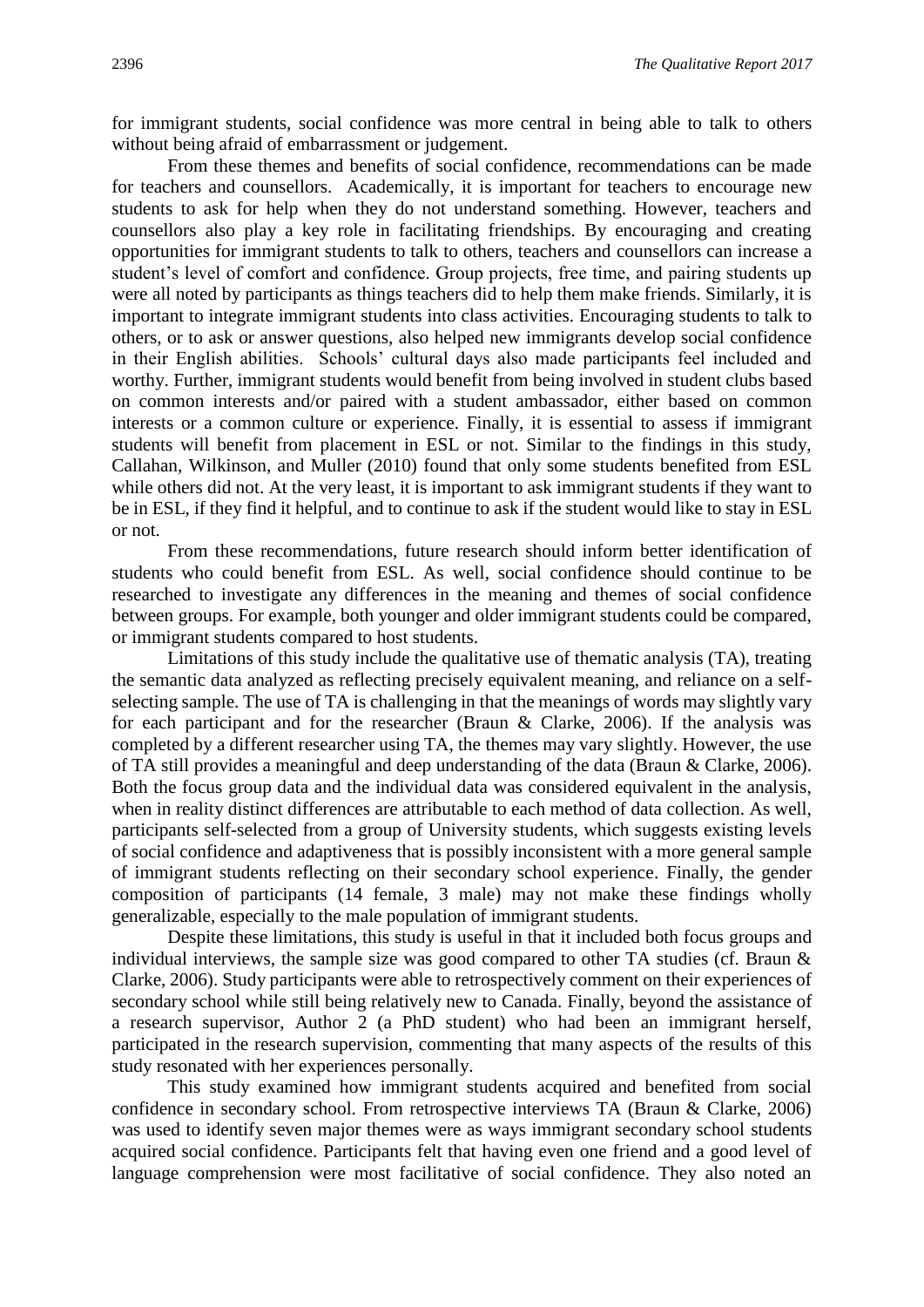for immigrant students, social confidence was more central in being able to talk to others without being afraid of embarrassment or judgement.

From these themes and benefits of social confidence, recommendations can be made for teachers and counsellors. Academically, it is important for teachers to encourage new students to ask for help when they do not understand something. However, teachers and counsellors also play a key role in facilitating friendships. By encouraging and creating opportunities for immigrant students to talk to others, teachers and counsellors can increase a student's level of comfort and confidence. Group projects, free time, and pairing students up were all noted by participants as things teachers did to help them make friends. Similarly, it is important to integrate immigrant students into class activities. Encouraging students to talk to others, or to ask or answer questions, also helped new immigrants develop social confidence in their English abilities. Schools' cultural days also made participants feel included and worthy. Further, immigrant students would benefit from being involved in student clubs based on common interests and/or paired with a student ambassador, either based on common interests or a common culture or experience. Finally, it is essential to assess if immigrant students will benefit from placement in ESL or not. Similar to the findings in this study, Callahan, Wilkinson, and Muller (2010) found that only some students benefited from ESL while others did not. At the very least, it is important to ask immigrant students if they want to be in ESL, if they find it helpful, and to continue to ask if the student would like to stay in ESL or not.

From these recommendations, future research should inform better identification of students who could benefit from ESL. As well, social confidence should continue to be researched to investigate any differences in the meaning and themes of social confidence between groups. For example, both younger and older immigrant students could be compared, or immigrant students compared to host students.

Limitations of this study include the qualitative use of thematic analysis (TA), treating the semantic data analyzed as reflecting precisely equivalent meaning, and reliance on a selfselecting sample. The use of TA is challenging in that the meanings of words may slightly vary for each participant and for the researcher (Braun & Clarke, 2006). If the analysis was completed by a different researcher using TA, the themes may vary slightly. However, the use of TA still provides a meaningful and deep understanding of the data (Braun & Clarke, 2006). Both the focus group data and the individual data was considered equivalent in the analysis, when in reality distinct differences are attributable to each method of data collection. As well, participants self-selected from a group of University students, which suggests existing levels of social confidence and adaptiveness that is possibly inconsistent with a more general sample of immigrant students reflecting on their secondary school experience. Finally, the gender composition of participants (14 female, 3 male) may not make these findings wholly generalizable, especially to the male population of immigrant students.

Despite these limitations, this study is useful in that it included both focus groups and individual interviews, the sample size was good compared to other TA studies (cf. Braun & Clarke, 2006). Study participants were able to retrospectively comment on their experiences of secondary school while still being relatively new to Canada. Finally, beyond the assistance of a research supervisor, Author 2 (a PhD student) who had been an immigrant herself, participated in the research supervision, commenting that many aspects of the results of this study resonated with her experiences personally.

This study examined how immigrant students acquired and benefited from social confidence in secondary school. From retrospective interviews TA (Braun & Clarke, 2006) was used to identify seven major themes were as ways immigrant secondary school students acquired social confidence. Participants felt that having even one friend and a good level of language comprehension were most facilitative of social confidence. They also noted an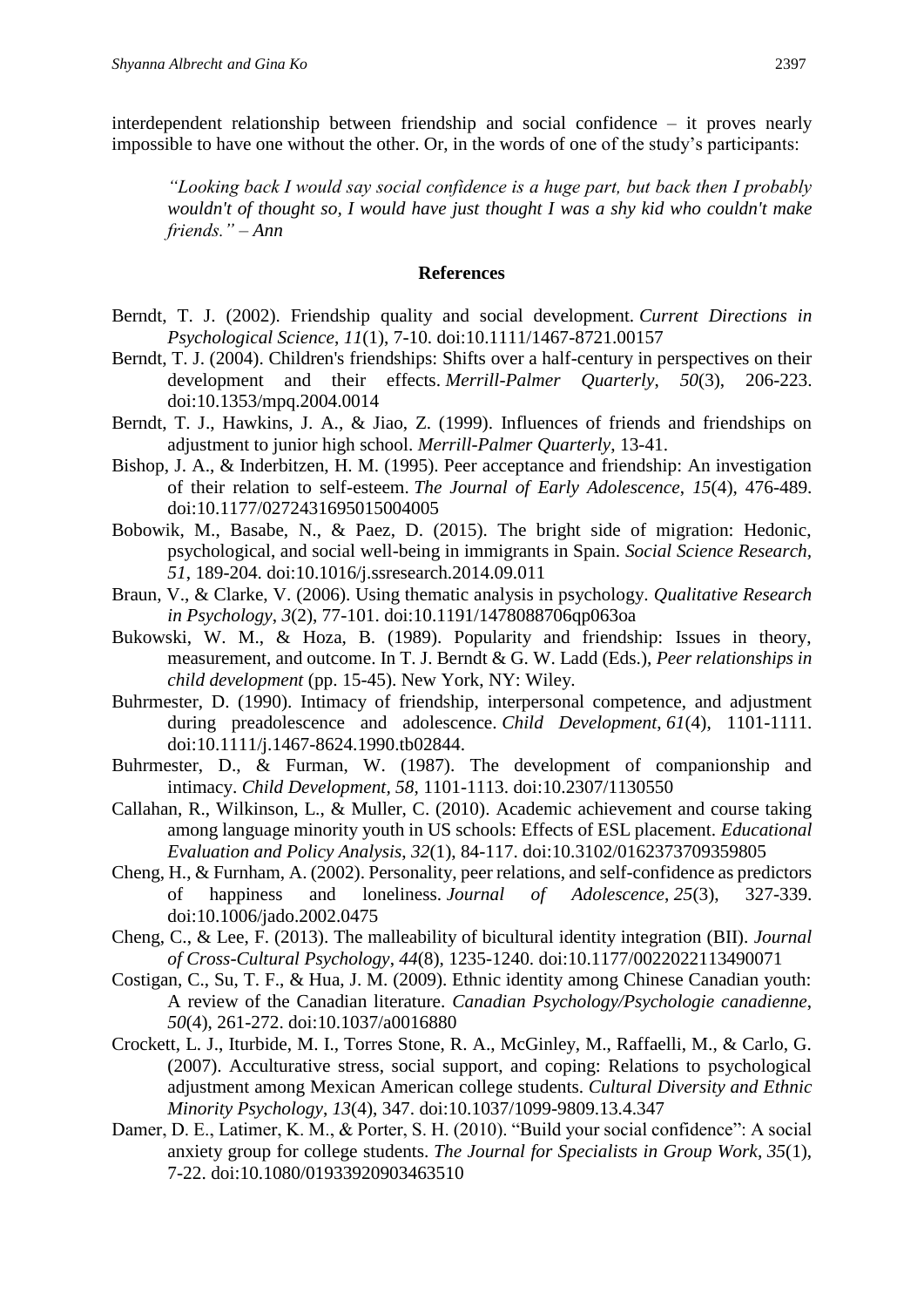interdependent relationship between friendship and social confidence – it proves nearly impossible to have one without the other. Or, in the words of one of the study's participants:

*"Looking back I would say social confidence is a huge part, but back then I probably wouldn't of thought so, I would have just thought I was a shy kid who couldn't make friends." – Ann*

#### **References**

- Berndt, T. J. (2002). Friendship quality and social development. *Current Directions in Psychological Science*, *11*(1), 7-10. doi:10.1111/1467-8721.00157
- Berndt, T. J. (2004). Children's friendships: Shifts over a half-century in perspectives on their development and their effects. *Merrill-Palmer Quarterly*, *50*(3), 206-223. doi:10.1353/mpq.2004.0014
- Berndt, T. J., Hawkins, J. A., & Jiao, Z. (1999). Influences of friends and friendships on adjustment to junior high school. *Merrill-Palmer Quarterly*, 13-41.
- Bishop, J. A., & Inderbitzen, H. M. (1995). Peer acceptance and friendship: An investigation of their relation to self-esteem. *The Journal of Early Adolescence*, *15*(4), 476-489. doi:10.1177/0272431695015004005
- Bobowik, M., Basabe, N., & Paez, D. (2015). The bright side of migration: Hedonic, psychological, and social well-being in immigrants in Spain. *Social Science Research, 51*, 189-204. doi:10.1016/j.ssresearch.2014.09.011
- Braun, V., & Clarke, V. (2006). Using thematic analysis in psychology. *Qualitative Research in Psychology*, *3*(2), 77-101. doi:10.1191/1478088706qp063oa
- Bukowski, W. M., & Hoza, B. (1989). Popularity and friendship: Issues in theory, measurement, and outcome. In T. J. Berndt & G. W. Ladd (Eds.), *Peer relationships in child development* (pp. 15-45). New York, NY: Wiley.
- Buhrmester, D. (1990). Intimacy of friendship, interpersonal competence, and adjustment during preadolescence and adolescence. *Child Development*, 61(4), 1101-1111. doi:10.1111/j.1467-8624.1990.tb02844.
- Buhrmester, D., & Furman, W. (1987). The development of companionship and intimacy. *Child Development, 58*, 1101-1113. doi:10.2307/1130550
- Callahan, R., Wilkinson, L., & Muller, C. (2010). Academic achievement and course taking among language minority youth in US schools: Effects of ESL placement. *Educational Evaluation and Policy Analysis*, *32*(1), 84-117. doi:10.3102/0162373709359805
- Cheng, H., & Furnham, A. (2002). Personality, peer relations, and self-confidence as predictors of happiness and loneliness. *Journal of Adolescence*, *25*(3), 327-339. doi:10.1006/jado.2002.0475
- Cheng, C., & Lee, F. (2013). The malleability of bicultural identity integration (BII). *Journal of Cross-Cultural Psychology*, *44*(8), 1235-1240. doi:10.1177/0022022113490071
- Costigan, C., Su, T. F., & Hua, J. M. (2009). Ethnic identity among Chinese Canadian youth: A review of the Canadian literature. *Canadian Psychology/Psychologie canadienne*, *50*(4), 261-272. doi:10.1037/a0016880
- Crockett, L. J., Iturbide, M. I., Torres Stone, R. A., McGinley, M., Raffaelli, M., & Carlo, G. (2007). Acculturative stress, social support, and coping: Relations to psychological adjustment among Mexican American college students. *Cultural Diversity and Ethnic Minority Psychology*, *13*(4), 347. doi:10.1037/1099-9809.13.4.347
- Damer, D. E., Latimer, K. M., & Porter, S. H. (2010). "Build your social confidence": A social anxiety group for college students. *The Journal for Specialists in Group Work*, *35*(1), 7-22. doi:10.1080/01933920903463510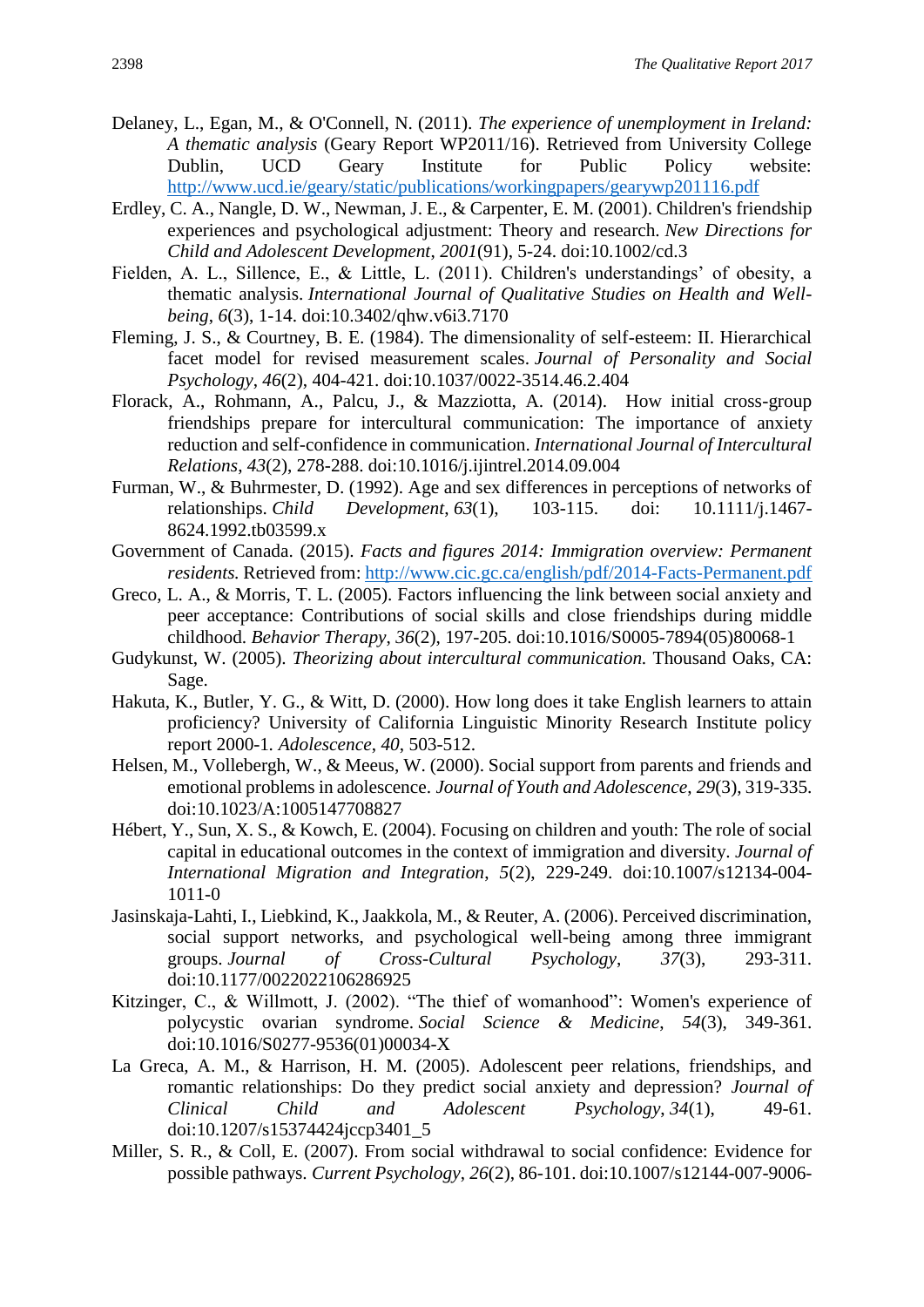- Delaney, L., Egan, M., & O'Connell, N. (2011). *The experience of unemployment in Ireland: A thematic analysis* (Geary Report WP2011/16). Retrieved from University College Dublin, UCD Geary Institute for Public Policy website: <http://www.ucd.ie/geary/static/publications/workingpapers/gearywp201116.pdf>
- Erdley, C. A., Nangle, D. W., Newman, J. E., & Carpenter, E. M. (2001). Children's friendship experiences and psychological adjustment: Theory and research. *New Directions for Child and Adolescent Development*, *2001*(91), 5-24. doi:10.1002/cd.3
- Fielden, A. L., Sillence, E., & Little, L. (2011). Children's understandings' of obesity, a thematic analysis. *International Journal of Qualitative Studies on Health and Wellbeing*, *6*(3), 1-14. doi:10.3402/qhw.v6i3.7170
- Fleming, J. S., & Courtney, B. E. (1984). The dimensionality of self-esteem: II. Hierarchical facet model for revised measurement scales. *Journal of Personality and Social Psychology*, *46*(2), 404-421. doi:10.1037/0022-3514.46.2.404
- Florack, A., Rohmann, A., Palcu, J., & Mazziotta, A. (2014). How initial cross-group friendships prepare for intercultural communication: The importance of anxiety reduction and self-confidence in communication. *International Journal of Intercultural Relations*, *43*(2), 278-288. doi:10.1016/j.ijintrel.2014.09.004
- Furman, W., & Buhrmester, D. (1992). Age and sex differences in perceptions of networks of relationships. *Child Development*, *63*(1), 103-115. doi: 10.1111/j.1467- 8624.1992.tb03599.x
- Government of Canada. (2015). *Facts and figures 2014: Immigration overview: Permanent residents.* Retrieved from:<http://www.cic.gc.ca/english/pdf/2014-Facts-Permanent.pdf>
- Greco, L. A., & Morris, T. L. (2005). Factors influencing the link between social anxiety and peer acceptance: Contributions of social skills and close friendships during middle childhood. *Behavior Therapy*, *36*(2), 197-205. doi:10.1016/S0005-7894(05)80068-1
- Gudykunst, W. (2005). *Theorizing about intercultural communication.* Thousand Oaks, CA: Sage.
- Hakuta, K., Butler, Y. G., & Witt, D. (2000). How long does it take English learners to attain proficiency? University of California Linguistic Minority Research Institute policy report 2000-1*. Adolescence*, *40*, 503-512.
- Helsen, M., Vollebergh, W., & Meeus, W. (2000). Social support from parents and friends and emotional problems in adolescence. *Journal of Youth and Adolescence*, *29*(3), 319-335. doi:10.1023/A:1005147708827
- Hébert, Y., Sun, X. S., & Kowch, E. (2004). Focusing on children and youth: The role of social capital in educational outcomes in the context of immigration and diversity. *Journal of International Migration and Integration*, *5*(2), 229-249. doi:10.1007/s12134-004- 1011-0
- Jasinskaja-Lahti, I., Liebkind, K., Jaakkola, M., & Reuter, A. (2006). Perceived discrimination, social support networks, and psychological well-being among three immigrant groups. *Journal of Cross-Cultural Psychology*, *37*(3), 293-311. doi:10.1177/0022022106286925
- Kitzinger, C., & Willmott, J. (2002). "The thief of womanhood": Women's experience of polycystic ovarian syndrome. *Social Science & Medicine*, *54*(3), 349-361. doi:10.1016/S0277-9536(01)00034-X
- La Greca, A. M., & Harrison, H. M. (2005). Adolescent peer relations, friendships, and romantic relationships: Do they predict social anxiety and depression? *Journal of Clinical Child and Adolescent Psychology*, *34*(1), 49-61. doi:10.1207/s15374424jccp3401\_5
- Miller, S. R., & Coll, E. (2007). From social withdrawal to social confidence: Evidence for possible pathways. *Current Psychology*, *26*(2), 86-101. doi:10.1007/s12144-007-9006-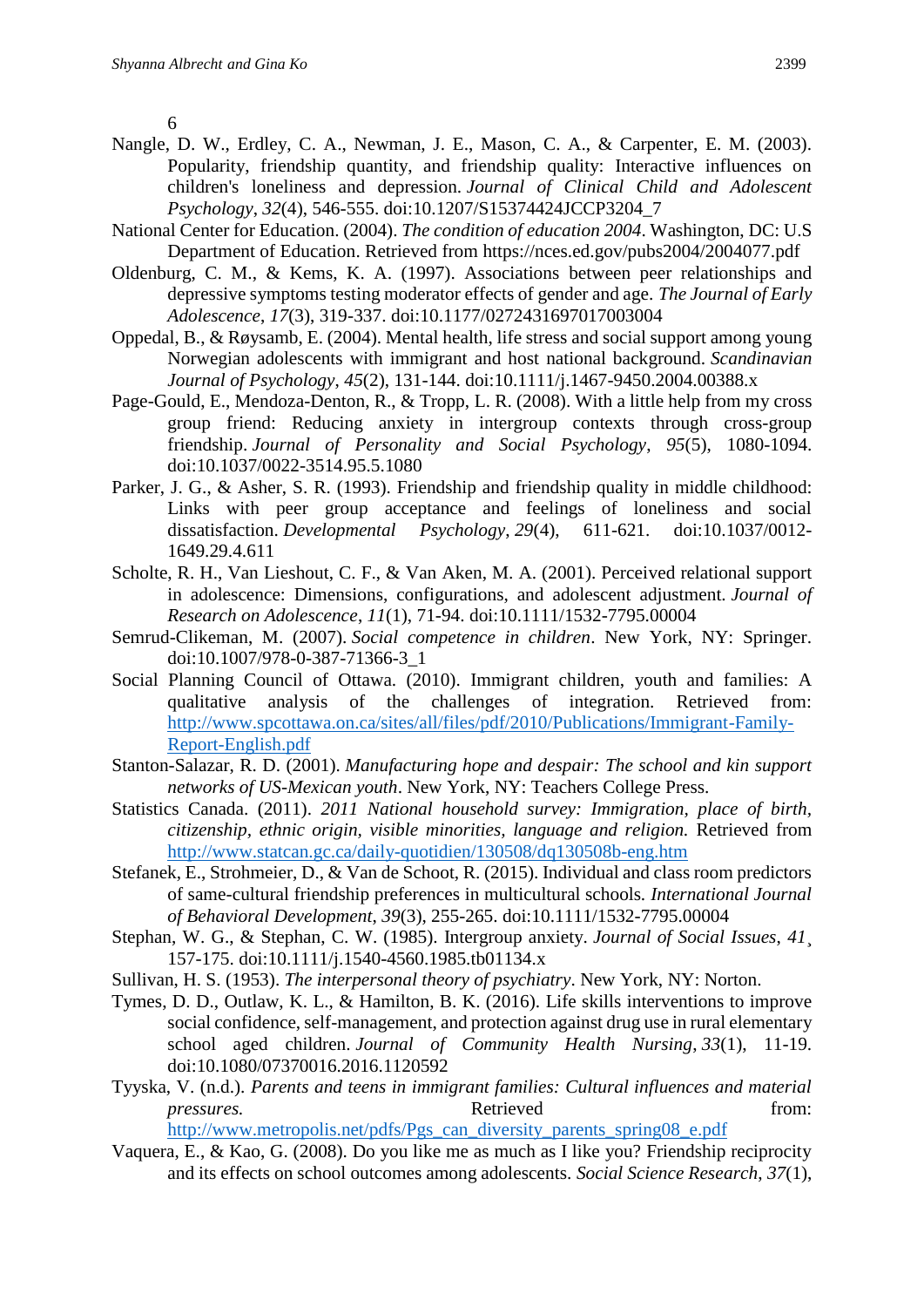6

- Nangle, D. W., Erdley, C. A., Newman, J. E., Mason, C. A., & Carpenter, E. M. (2003). Popularity, friendship quantity, and friendship quality: Interactive influences on children's loneliness and depression. *Journal of Clinical Child and Adolescent Psychology*, *32*(4), 546-555. doi:10.1207/S15374424JCCP3204\_7
- National Center for Education. (2004). *The condition of education 2004*. Washington, DC: U.S Department of Education. Retrieved from https://nces.ed.gov/pubs2004/2004077.pdf
- Oldenburg, C. M., & Kems, K. A. (1997). Associations between peer relationships and depressive symptoms testing moderator effects of gender and age. *The Journal of Early Adolescence*, *17*(3), 319-337. doi:10.1177/0272431697017003004
- Oppedal, B., & Røysamb, E. (2004). Mental health, life stress and social support among young Norwegian adolescents with immigrant and host national background. *Scandinavian Journal of Psychology*, *45*(2), 131-144. doi:10.1111/j.1467-9450.2004.00388.x
- Page-Gould, E., Mendoza-Denton, R., & Tropp, L. R. (2008). With a little help from my cross group friend: Reducing anxiety in intergroup contexts through cross-group friendship. *Journal of Personality and Social Psychology*, *95*(5), 1080-1094. doi:10.1037/0022-3514.95.5.1080
- Parker, J. G., & Asher, S. R. (1993). Friendship and friendship quality in middle childhood: Links with peer group acceptance and feelings of loneliness and social dissatisfaction. *Developmental Psychology*, *29*(4), 611-621. doi:10.1037/0012- 1649.29.4.611
- Scholte, R. H., Van Lieshout, C. F., & Van Aken, M. A. (2001). Perceived relational support in adolescence: Dimensions, configurations, and adolescent adjustment. *Journal of Research on Adolescence*, *11*(1), 71-94. doi:10.1111/1532-7795.00004
- Semrud-Clikeman, M. (2007). *Social competence in children*. New York, NY: Springer. doi:10.1007/978-0-387-71366-3\_1
- Social Planning Council of Ottawa. (2010). Immigrant children, youth and families: A qualitative analysis of the challenges of integration. Retrieved from: [http://www.spcottawa.on.ca/sites/all/files/pdf/2010/Publications/Immigrant-Family-](http://www.spcottawa.on.ca/sites/all/files/pdf/2010/Publications/Immigrant-Family-Report-English.pdf)[Report-English.pdf](http://www.spcottawa.on.ca/sites/all/files/pdf/2010/Publications/Immigrant-Family-Report-English.pdf)
- Stanton-Salazar, R. D. (2001). *Manufacturing hope and despair: The school and kin support networks of US-Mexican youth*. New York, NY: Teachers College Press.
- Statistics Canada. (2011). *2011 National household survey: Immigration, place of birth, citizenship, ethnic origin, visible minorities, language and religion.* Retrieved from <http://www.statcan.gc.ca/daily-quotidien/130508/dq130508b-eng.htm>
- Stefanek, E., Strohmeier, D., & Van de Schoot, R. (2015). Individual and class room predictors of same-cultural friendship preferences in multicultural schools*. International Journal of Behavioral Development*, *39*(3), 255-265. doi:10.1111/1532-7795.00004
- Stephan, W. G., & Stephan, C. W. (1985). Intergroup anxiety. *Journal of Social Issues*, *41*¸ 157-175. doi:10.1111/j.1540-4560.1985.tb01134.x
- Sullivan, H. S. (1953). *The interpersonal theory of psychiatry*. New York, NY: Norton.
- Tymes, D. D., Outlaw, K. L., & Hamilton, B. K. (2016). Life skills interventions to improve social confidence, self-management, and protection against drug use in rural elementary school aged children. *Journal of Community Health Nursing*, *33*(1), 11-19. doi:10.1080/07370016.2016.1120592
- Tyyska, V. (n.d.). *Parents and teens in immigrant families: Cultural influences and material pressures.* Retrieved from: [http://www.metropolis.net/pdfs/Pgs\\_can\\_diversity\\_parents\\_spring08\\_e.pdf](http://www.metropolis.net/pdfs/Pgs_can_diversity_parents_spring08_e.pdf)
- Vaquera, E., & Kao, G. (2008). Do you like me as much as I like you? Friendship reciprocity and its effects on school outcomes among adolescents. *Social Science Research*, *37*(1),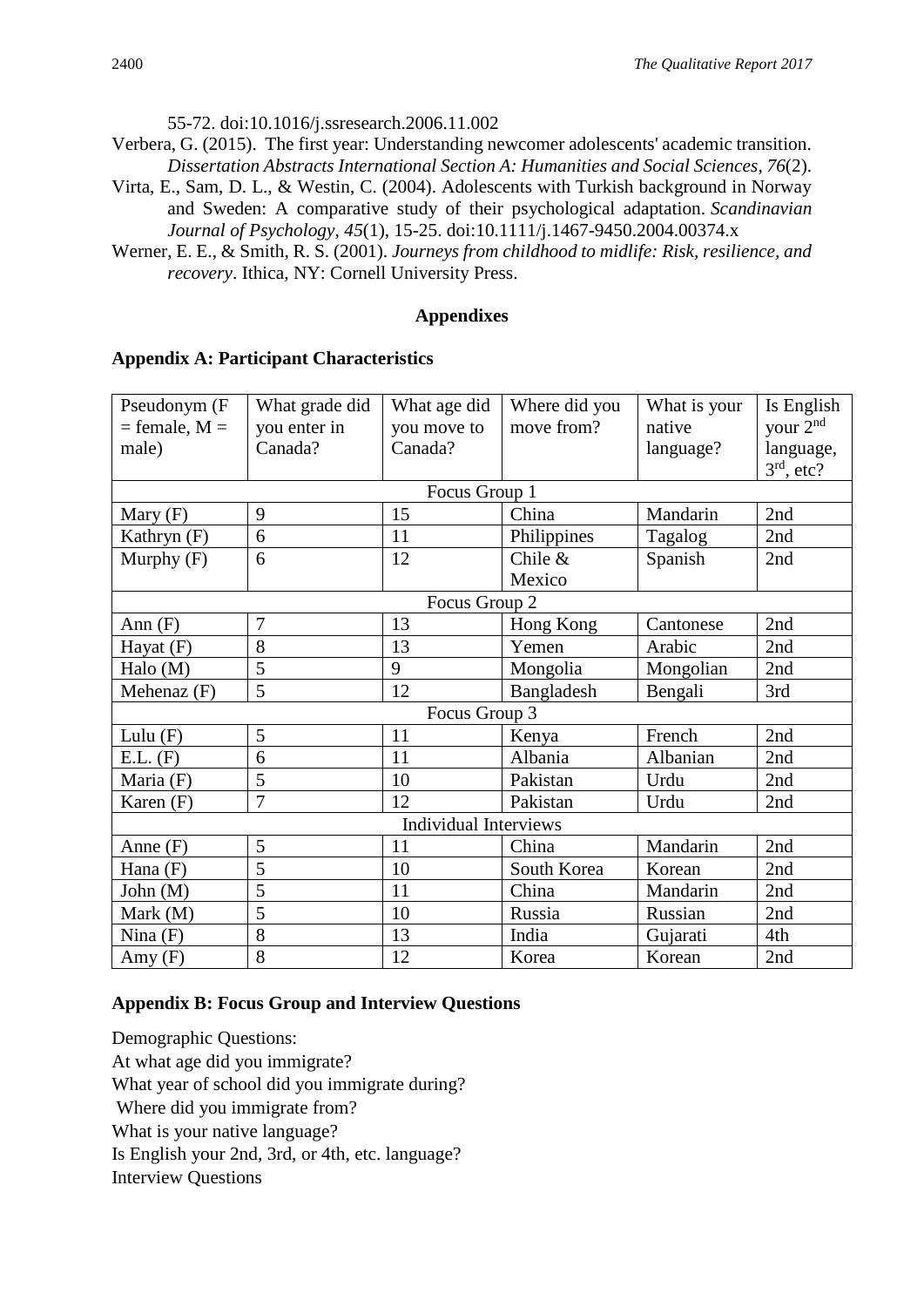55-72. doi:10.1016/j.ssresearch.2006.11.002

- Verbera, G. (2015). The first year: Understanding newcomer adolescents' academic transition. *Dissertation Abstracts International Section A: Humanities and Social Sciences*, *76*(2).
- Virta, E., Sam, D. L., & Westin, C. (2004). Adolescents with Turkish background in Norway and Sweden: A comparative study of their psychological adaptation. *Scandinavian Journal of Psychology*, *45*(1), 15-25. doi:10.1111/j.1467-9450.2004.00374.x
- Werner, E. E., & Smith, R. S. (2001). *Journeys from childhood to midlife: Risk, resilience, and recovery*. Ithica, NY: Cornell University Press.

## **Appendixes**

## **Appendix A: Participant Characteristics**

| Pseudonym (F                 | What grade did | What age did | Where did you | What is your | Is English           |
|------------------------------|----------------|--------------|---------------|--------------|----------------------|
| $=$ female, $M =$            | you enter in   | you move to  | move from?    | native       | your 2 <sup>nd</sup> |
| male)                        | Canada?        | Canada?      |               | language?    | language,            |
|                              |                |              |               |              | $3rd$ , etc?         |
| Focus Group 1                |                |              |               |              |                      |
| Mary $(F)$                   | 9              | 15           | China         | Mandarin     | 2nd                  |
| Kathryn (F)                  | 6              | 11           | Philippines   | Tagalog      | 2nd                  |
| Murphy $(F)$                 | 6              | 12           | Chile $&$     | Spanish      | 2nd                  |
|                              |                |              | Mexico        |              |                      |
| Focus Group 2                |                |              |               |              |                      |
| Ann $(F)$                    | $\overline{7}$ | 13           | Hong Kong     | Cantonese    | 2nd                  |
| Hayat $(F)$                  | 8              | 13           | Yemen         | Arabic       | 2nd                  |
| Halo (M)                     | 5              | 9            | Mongolia      | Mongolian    | 2nd                  |
| Mehenaz (F)                  | 5              | 12           | Bangladesh    | Bengali      | 3rd                  |
| Focus Group 3                |                |              |               |              |                      |
| Lulu $(F)$                   | 5              | 11           | Kenya         | French       | 2nd                  |
| E.L. (F)                     | 6              | 11           | Albania       | Albanian     | 2nd                  |
| Maria (F)                    | 5              | 10           | Pakistan      | Urdu         | 2nd                  |
| Karen (F)                    | $\overline{7}$ | 12           | Pakistan      | Urdu         | 2nd                  |
| <b>Individual Interviews</b> |                |              |               |              |                      |
| Anne $(F)$                   | 5              | 11           | China         | Mandarin     | 2nd                  |
| Hana (F)                     | 5              | 10           | South Korea   | Korean       | 2nd                  |
| John $(M)$                   | 5              | 11           | China         | Mandarin     | 2nd                  |
| Mark $(M)$                   | 5              | 10           | Russia        | Russian      | 2nd                  |
| Nina $(F)$                   | 8              | 13           | India         | Gujarati     | 4th                  |
| Amy(F)                       | 8              | 12           | Korea         | Korean       | 2nd                  |

# **Appendix B: Focus Group and Interview Questions**

Demographic Questions: At what age did you immigrate? What year of school did you immigrate during? Where did you immigrate from? What is your native language? Is English your 2nd, 3rd, or 4th, etc. language? Interview Questions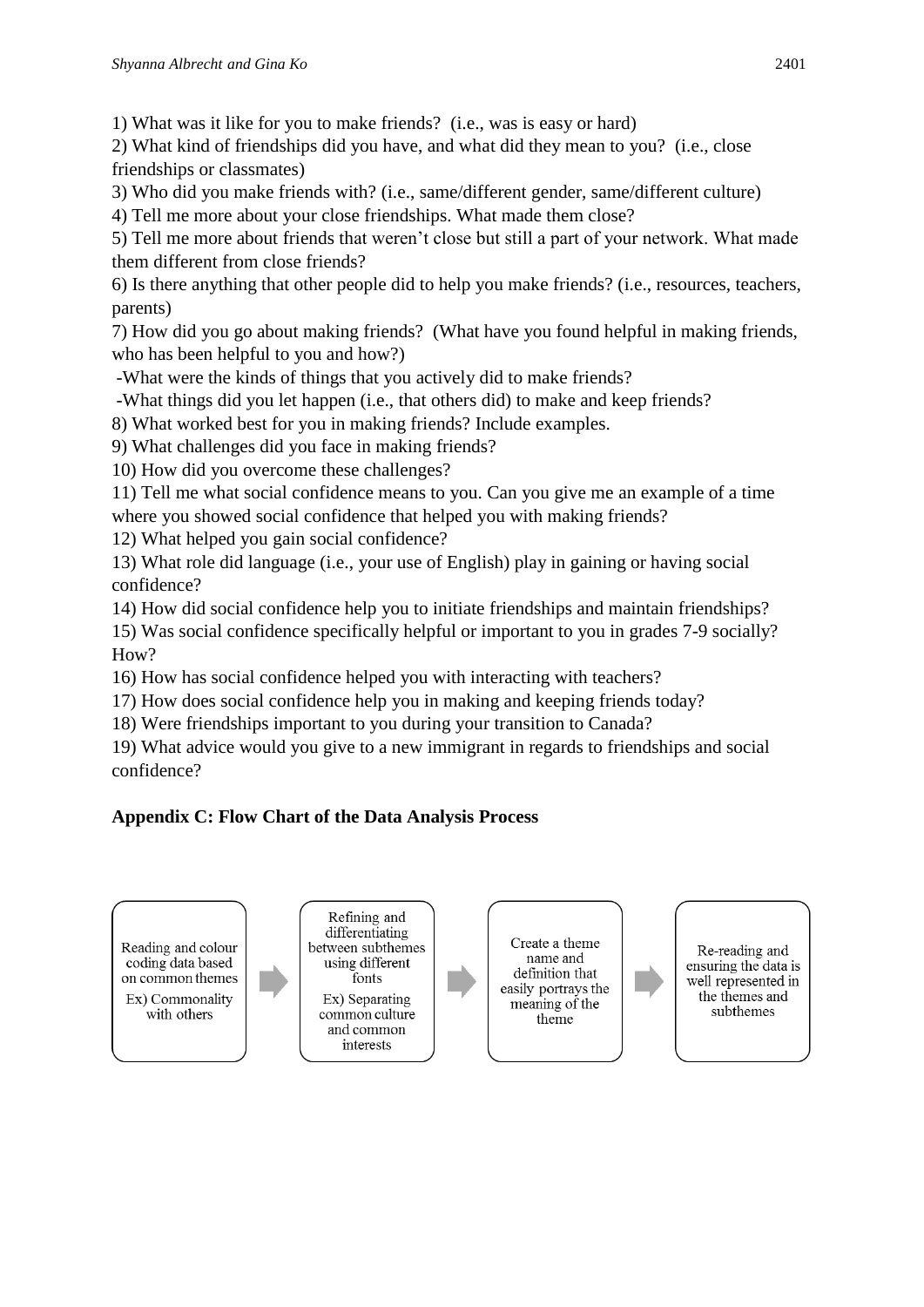1) What was it like for you to make friends? (i.e., was is easy or hard)

2) What kind of friendships did you have, and what did they mean to you? (i.e., close friendships or classmates)

3) Who did you make friends with? (i.e., same/different gender, same/different culture)

4) Tell me more about your close friendships. What made them close?

5) Tell me more about friends that weren't close but still a part of your network. What made them different from close friends?

6) Is there anything that other people did to help you make friends? (i.e., resources, teachers, parents)

7) How did you go about making friends? (What have you found helpful in making friends, who has been helpful to you and how?)

-What were the kinds of things that you actively did to make friends?

-What things did you let happen (i.e., that others did) to make and keep friends?

8) What worked best for you in making friends? Include examples.

9) What challenges did you face in making friends?

10) How did you overcome these challenges?

11) Tell me what social confidence means to you. Can you give me an example of a time where you showed social confidence that helped you with making friends?

12) What helped you gain social confidence?

13) What role did language (i.e., your use of English) play in gaining or having social confidence?

14) How did social confidence help you to initiate friendships and maintain friendships?

15) Was social confidence specifically helpful or important to you in grades 7-9 socially? How?

16) How has social confidence helped you with interacting with teachers?

17) How does social confidence help you in making and keeping friends today?

18) Were friendships important to you during your transition to Canada?

19) What advice would you give to a new immigrant in regards to friendships and social confidence?

# **Appendix C: Flow Chart of the Data Analysis Process**

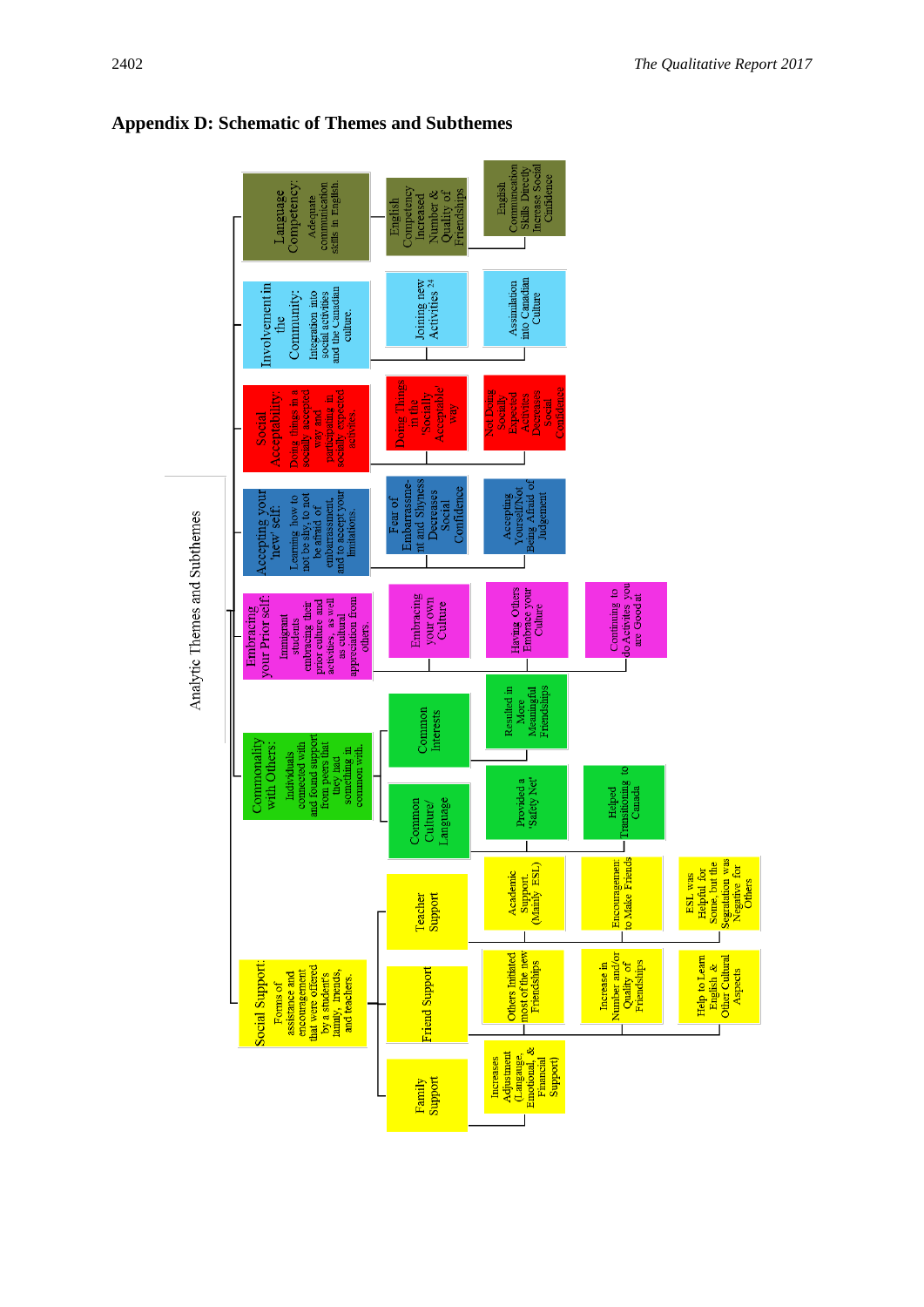

**Appendix D: Schematic of Themes and Subthemes**